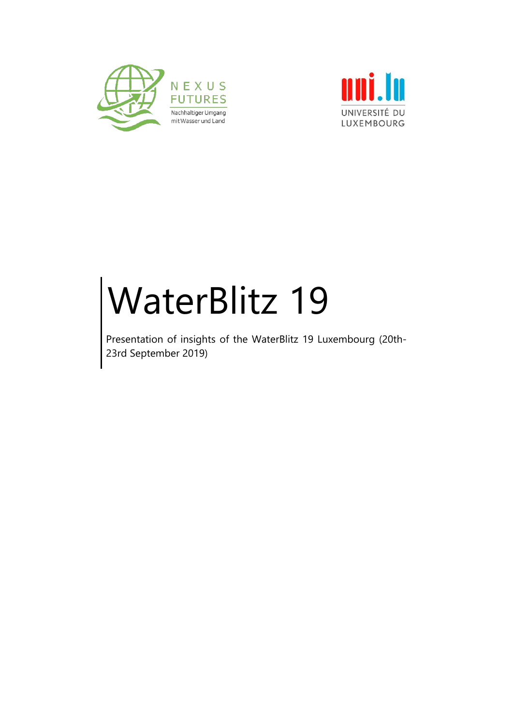



# WaterBlitz 19

Presentation of insights of the WaterBlitz 19 Luxembourg (20th-23rd September 2019)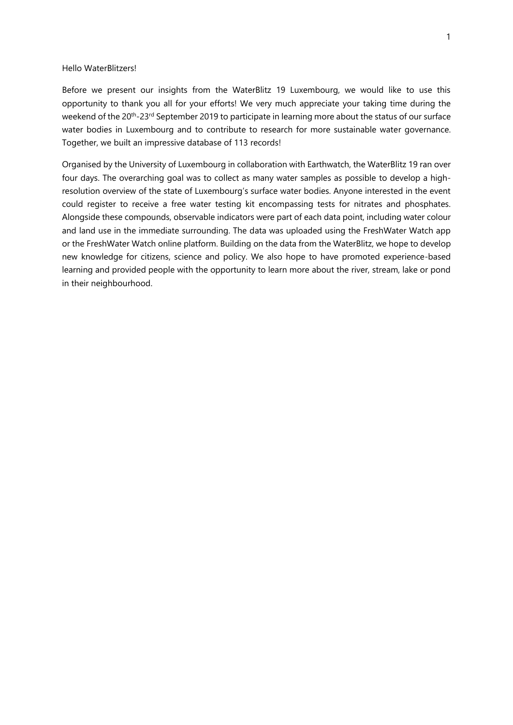#### Hello WaterBlitzers!

Before we present our insights from the WaterBlitz 19 Luxembourg, we would like to use this opportunity to thank you all for your efforts! We very much appreciate your taking time during the weekend of the 20<sup>th</sup>-23<sup>rd</sup> September 2019 to participate in learning more about the status of our surface water bodies in Luxembourg and to contribute to research for more sustainable water governance. Together, we built an impressive database of 113 records!

Organised by the University of Luxembourg in collaboration with Earthwatch, the WaterBlitz 19 ran over four days. The overarching goal was to collect as many water samples as possible to develop a highresolution overview of the state of Luxembourg's surface water bodies. Anyone interested in the event could register to receive a free water testing kit encompassing tests for nitrates and phosphates. Alongside these compounds, observable indicators were part of each data point, including water colour and land use in the immediate surrounding. The data was uploaded using the FreshWater Watch app or the FreshWater Watch online platform. Building on the data from the WaterBlitz, we hope to develop new knowledge for citizens, science and policy. We also hope to have promoted experience-based learning and provided people with the opportunity to learn more about the river, stream, lake or pond in their neighbourhood.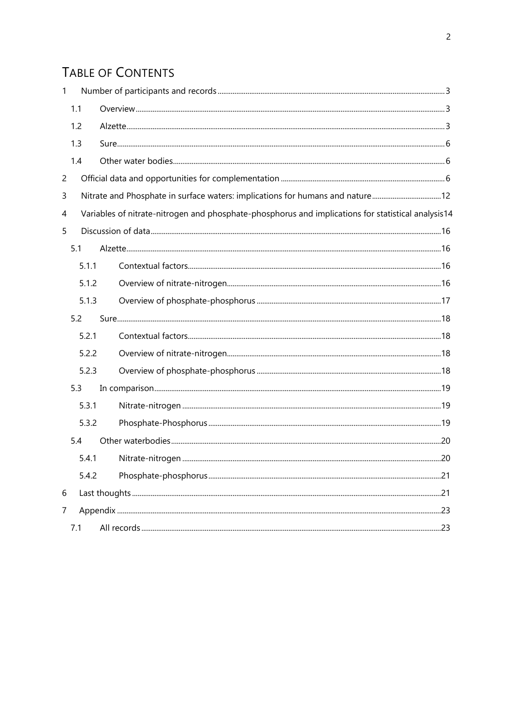# TABLE OF CONTENTS

| $\mathbf{1}$   |       |                                                                                                    |  |
|----------------|-------|----------------------------------------------------------------------------------------------------|--|
|                | 1.1   |                                                                                                    |  |
|                | 1.2   |                                                                                                    |  |
|                | 1.3   |                                                                                                    |  |
|                | 1.4   |                                                                                                    |  |
| $\overline{c}$ |       |                                                                                                    |  |
| 3              |       | Nitrate and Phosphate in surface waters: implications for humans and nature12                      |  |
| 4              |       | Variables of nitrate-nitrogen and phosphate-phosphorus and implications for statistical analysis14 |  |
| 5              |       |                                                                                                    |  |
|                | 5.1   |                                                                                                    |  |
|                | 5.1.1 |                                                                                                    |  |
|                | 5.1.2 |                                                                                                    |  |
|                | 5.1.3 |                                                                                                    |  |
|                | 5.2   |                                                                                                    |  |
|                | 5.2.1 |                                                                                                    |  |
|                | 5.2.2 |                                                                                                    |  |
|                | 5.2.3 |                                                                                                    |  |
|                | 5.3   |                                                                                                    |  |
|                | 5.3.1 |                                                                                                    |  |
|                | 5.3.2 |                                                                                                    |  |
|                | 5.4   |                                                                                                    |  |
|                | 5.4.1 |                                                                                                    |  |
|                | 5.4.2 |                                                                                                    |  |
| 6              |       |                                                                                                    |  |
| 7              |       |                                                                                                    |  |
|                | 7.1   |                                                                                                    |  |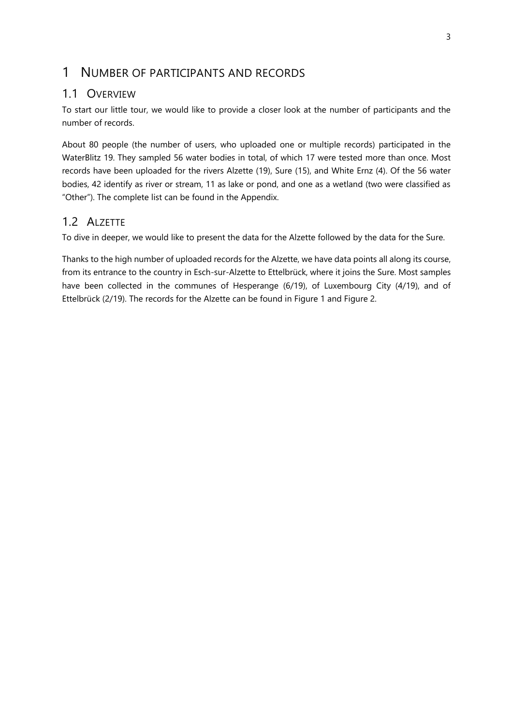### <span id="page-3-0"></span>1 NUMBER OF PARTICIPANTS AND RECORDS

#### <span id="page-3-1"></span>1.1 OVERVIEW

To start our little tour, we would like to provide a closer look at the number of participants and the number of records.

About 80 people (the number of users, who uploaded one or multiple records) participated in the WaterBlitz 19. They sampled 56 water bodies in total, of which 17 were tested more than once. Most records have been uploaded for the rivers Alzette (19), Sure (15), and White Ernz (4). Of the 56 water bodies, 42 identify as river or stream, 11 as lake or pond, and one as a wetland (two were classified as "Other"). The complete list can be found in the Appendix.

#### <span id="page-3-2"></span>1.2 ALZETTE

To dive in deeper, we would like to present the data for the Alzette followed by the data for the Sure.

Thanks to the high number of uploaded records for the Alzette, we have data points all along its course, from its entrance to the country in Esch-sur-Alzette to Ettelbrück, where it joins the Sure. Most samples have been collected in the communes of Hesperange (6/19), of Luxembourg City (4/19), and of Ettelbrück (2/19). The records for the Alzette can be found in [Figure 1](#page-4-0) and [Figure 2.](#page-5-0)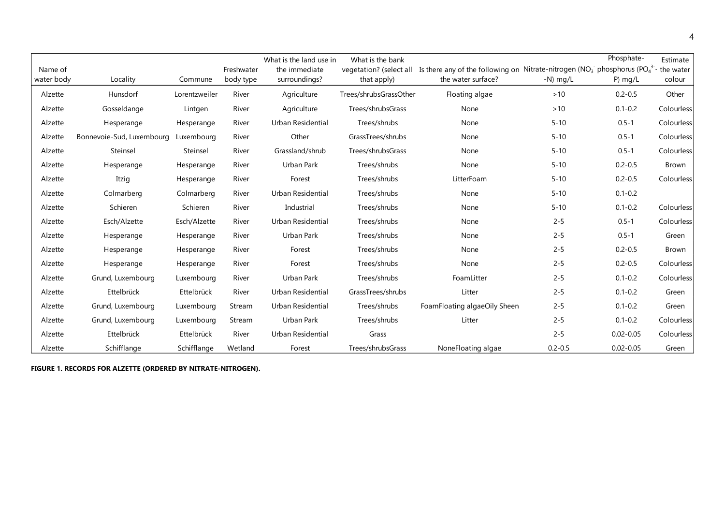|            |                           |               |            | What is the land use in | What is the bank        |                                                                                              |             | Phosphate-    | Estimate   |
|------------|---------------------------|---------------|------------|-------------------------|-------------------------|----------------------------------------------------------------------------------------------|-------------|---------------|------------|
| Name of    |                           |               | Freshwater | the immediate           | vegetation? (select all | Is there any of the following on Nitrate-nitrogen ( $NO3$ <sup>-</sup> phosphorus ( $PO43$ - |             |               | the water  |
| water body | Locality                  | Commune       | body type  | surroundings?           | that apply)             | the water surface?                                                                           | $-N$ ) mg/L | P) $mq/L$     | colour     |
| Alzette    | Hunsdorf                  | Lorentzweiler | River      | Agriculture             | Trees/shrubsGrassOther  | Floating algae                                                                               | $>10$       | $0.2 - 0.5$   | Other      |
| Alzette    | Gosseldange               | Lintgen       | River      | Agriculture             | Trees/shrubsGrass       | None                                                                                         | $>10$       | $0.1 - 0.2$   | Colourless |
| Alzette    | Hesperange                | Hesperange    | River      | Urban Residential       | Trees/shrubs            | None                                                                                         | $5 - 10$    | $0.5 - 1$     | Colourless |
| Alzette    | Bonnevoie-Sud, Luxembourg | Luxembourg    | River      | Other                   | GrassTrees/shrubs       | None                                                                                         | $5 - 10$    | $0.5 - 1$     | Colourless |
| Alzette    | Steinsel                  | Steinsel      | River      | Grassland/shrub         | Trees/shrubsGrass       | None                                                                                         | $5 - 10$    | $0.5 - 1$     | Colourless |
| Alzette    | Hesperange                | Hesperange    | River      | Urban Park              | Trees/shrubs            | None                                                                                         | $5 - 10$    | $0.2 - 0.5$   | Brown      |
| Alzette    | Itzig                     | Hesperange    | River      | Forest                  | Trees/shrubs            | LitterFoam                                                                                   | $5 - 10$    | $0.2 - 0.5$   | Colourless |
| Alzette    | Colmarberg                | Colmarberg    | River      | Urban Residential       | Trees/shrubs            | None                                                                                         | $5 - 10$    | $0.1 - 0.2$   |            |
| Alzette    | Schieren                  | Schieren      | River      | Industrial              | Trees/shrubs            | None                                                                                         | $5 - 10$    | $0.1 - 0.2$   | Colourless |
| Alzette    | Esch/Alzette              | Esch/Alzette  | River      | Urban Residential       | Trees/shrubs            | None                                                                                         | $2 - 5$     | $0.5 - 1$     | Colourless |
| Alzette    | Hesperange                | Hesperange    | River      | Urban Park              | Trees/shrubs            | None                                                                                         | $2 - 5$     | $0.5 - 1$     | Green      |
| Alzette    | Hesperange                | Hesperange    | River      | Forest                  | Trees/shrubs            | None                                                                                         | $2 - 5$     | $0.2 - 0.5$   | Brown      |
| Alzette    | Hesperange                | Hesperange    | River      | Forest                  | Trees/shrubs            | None                                                                                         | $2 - 5$     | $0.2 - 0.5$   | Colourless |
| Alzette    | Grund, Luxembourg         | Luxembourg    | River      | Urban Park              | Trees/shrubs            | FoamLitter                                                                                   | $2 - 5$     | $0.1 - 0.2$   | Colourless |
| Alzette    | Ettelbrück                | Ettelbrück    | River      | Urban Residential       | GrassTrees/shrubs       | Litter                                                                                       | $2 - 5$     | $0.1 - 0.2$   | Green      |
| Alzette    | Grund, Luxembourg         | Luxembourg    | Stream     | Urban Residential       | Trees/shrubs            | FoamFloating algaeOily Sheen                                                                 | $2 - 5$     | $0.1 - 0.2$   | Green      |
| Alzette    | Grund, Luxembourg         | Luxembourg    | Stream     | Urban Park              | Trees/shrubs            | Litter                                                                                       | $2 - 5$     | $0.1 - 0.2$   | Colourless |
| Alzette    | Ettelbrück                | Ettelbrück    | River      | Urban Residential       | Grass                   |                                                                                              | $2 - 5$     | $0.02 - 0.05$ | Colourless |
| Alzette    | Schifflange               | Schifflange   | Wetland    | Forest                  | Trees/shrubsGrass       | NoneFloating algae                                                                           | $0.2 - 0.5$ | $0.02 - 0.05$ | Green      |

<span id="page-4-0"></span>**FIGURE 1. RECORDS FOR ALZETTE (ORDERED BY NITRATE-NITROGEN).**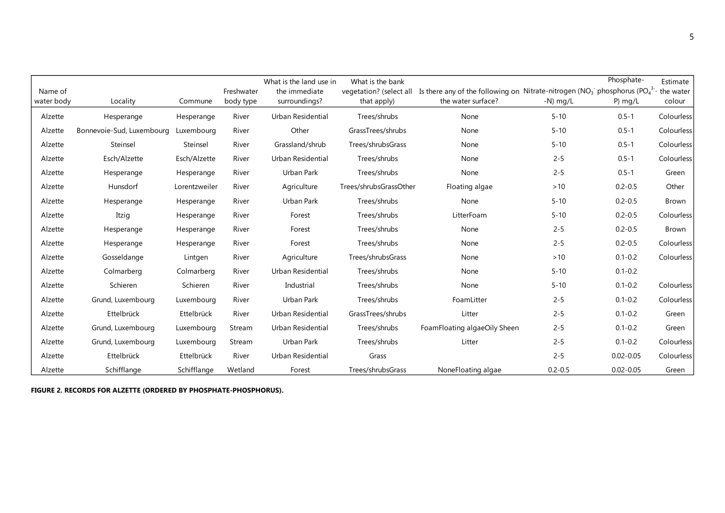|            |                           |               |            | What is the land use in | What is the bank        |                                                                                                  |             | Phosphate-    | Estimate     |
|------------|---------------------------|---------------|------------|-------------------------|-------------------------|--------------------------------------------------------------------------------------------------|-------------|---------------|--------------|
| Name of    |                           |               | Freshwater | the immediate           | vegetation? (select all | Is there any of the following on Nitrate-nitrogen ( $NO3$ <sup>-</sup> phosphorus ( $PO4^{3-}$ ) |             |               | the water    |
| water body | Locality                  | Commune       | body type  | surroundings?           | that apply)             | the water surface?                                                                               | $-N)$ mg/L  | $P)$ mg/L     | colour       |
| Alzette    | Hesperange                | Hesperange    | River      | Urban Residential       | Trees/shrubs            | None                                                                                             | $5 - 10$    | $0.5 - 1$     | Colourless   |
| Alzette    | Bonnevoie-Sud, Luxembourg | Luxembourg    | River      | Other                   | GrassTrees/shrubs       | None                                                                                             | $5 - 10$    | $0.5 - 1$     | Colourless   |
| Alzette    | Steinsel                  | Steinsel      | River      | Grassland/shrub         | Trees/shrubsGrass       | None                                                                                             | $5 - 10$    | $0.5 - 1$     | Colourless   |
| Alzette    | Esch/Alzette              | Esch/Alzette  | River      | Urban Residential       | Trees/shrubs            | None                                                                                             | $2 - 5$     | $0.5 - 1$     | Colourless   |
| Alzette    | Hesperange                | Hesperange    | River      | Urban Park              | Trees/shrubs            | None                                                                                             | $2 - 5$     | $0.5 - 1$     | Green        |
| Alzette    | Hunsdorf                  | Lorentzweiler | River      | Agriculture             | Trees/shrubsGrassOther  | Floating algae                                                                                   | $>10$       | $0.2 - 0.5$   | Other        |
| Alzette    | Hesperange                | Hesperange    | River      | Urban Park              | Trees/shrubs            | None                                                                                             | $5 - 10$    | $0.2 - 0.5$   | <b>Brown</b> |
| Alzette    | Itzig                     | Hesperange    | River      | Forest                  | Trees/shrubs            | LitterFoam                                                                                       | $5 - 10$    | $0.2 - 0.5$   | Colourless   |
| Alzette    | Hesperange                | Hesperange    | River      | Forest                  | Trees/shrubs            | None                                                                                             | $2 - 5$     | $0.2 - 0.5$   | Brown        |
| Alzette    | Hesperange                | Hesperange    | River      | Forest                  | Trees/shrubs            | None                                                                                             | $2 - 5$     | $0.2 - 0.5$   | Colourless   |
| Alzette    | Gosseldange               | Lintgen       | River      | Agriculture             | Trees/shrubsGrass       | None                                                                                             | >10         | $0.1 - 0.2$   | Colourless   |
| Alzette    | Colmarberg                | Colmarberg    | River      | Urban Residential       | Trees/shrubs            | None                                                                                             | $5 - 10$    | $0.1 - 0.2$   |              |
| Alzette    | Schieren                  | Schieren      | River      | Industrial              | Trees/shrubs            | None                                                                                             | $5 - 10$    | $0.1 - 0.2$   | Colourless   |
| Alzette    | Grund, Luxembourg         | Luxembourg    | River      | Urban Park              | Trees/shrubs            | FoamLitter                                                                                       | $2 - 5$     | $0.1 - 0.2$   | Colourless   |
| Alzette    | Ettelbrück                | Ettelbrück    | River      | Urban Residential       | GrassTrees/shrubs       | Litter                                                                                           | $2 - 5$     | $0.1 - 0.2$   | Green        |
| Alzette    | Grund, Luxembourg         | Luxembourg    | Stream     | Urban Residential       | Trees/shrubs            | FoamFloating algaeOily Sheen                                                                     | $2 - 5$     | $0.1 - 0.2$   | Green        |
| Alzette    | Grund, Luxembourg         | Luxembourg    | Stream     | Urban Park              | Trees/shrubs            | Litter                                                                                           | $2 - 5$     | $0.1 - 0.2$   | Colourless   |
| Alzette    | Ettelbrück                | Ettelbrück    | River      | Urban Residential       | Grass                   |                                                                                                  | $2 - 5$     | $0.02 - 0.05$ | Colourless   |
| Alzette    | Schifflange               | Schifflange   | Wetland    | Forest                  | Trees/shrubsGrass       | NoneFloating algae                                                                               | $0.2 - 0.5$ | $0.02 - 0.05$ | Green        |

<span id="page-5-0"></span>**FIGURE 2. RECORDS FOR ALZETTE (ORDERED BY PHOSPHATE-PHOSPHORUS).**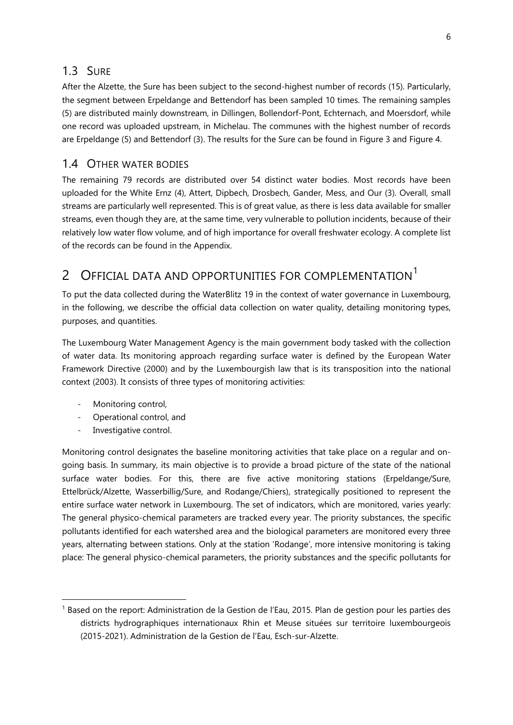#### <span id="page-6-0"></span>1.3 SURE

After the Alzette, the Sure has been subject to the second-highest number of records (15). Particularly, the segment between Erpeldange and Bettendorf has been sampled 10 times. The remaining samples (5) are distributed mainly downstream, in Dillingen, Bollendorf-Pont, Echternach, and Moersdorf, while one record was uploaded upstream, in Michelau. The communes with the highest number of records are Erpeldange (5) and Bettendorf (3). The results for the Sure can be found in [Figure 3](#page-8-0) and [Figure 4.](#page-9-0)

#### <span id="page-6-1"></span>1.4 OTHER WATER BODIES

The remaining 79 records are distributed over 54 distinct water bodies. Most records have been uploaded for the White Ernz (4), Attert, Dipbech, Drosbech, Gander, Mess, and Our (3). Overall, small streams are particularly well represented. This is of great value, as there is less data available for smaller streams, even though they are, at the same time, very vulnerable to pollution incidents, because of their relatively low water flow volume, and of high importance for overall freshwater ecology. A complete list of the records can be found in the [Appendix.](#page-23-0)

## <span id="page-6-2"></span>2 OFFICIAL DATA AND OPPORTUNITIES FOR COMPLEMENTATION<sup>1</sup>

To put the data collected during the WaterBlitz 19 in the context of water governance in Luxembourg, in the following, we describe the official data collection on water quality, detailing monitoring types, purposes, and quantities.

The Luxembourg Water Management Agency is the main government body tasked with the collection of water data. Its monitoring approach regarding surface water is defined by the European Water Framework Directive (2000) and by the Luxembourgish law that is its transposition into the national context (2003). It consists of three types of monitoring activities:

- Monitoring control,
- Operational control, and
- Investigative control.

 $\overline{a}$ 

Monitoring control designates the baseline monitoring activities that take place on a regular and ongoing basis. In summary, its main objective is to provide a broad picture of the state of the national surface water bodies. For this, there are five active monitoring stations (Erpeldange/Sure, Ettelbrück/Alzette, Wasserbillig/Sure, and Rodange/Chiers), strategically positioned to represent the entire surface water network in Luxembourg. The set of indicators, which are monitored, varies yearly: The general physico-chemical parameters are tracked every year. The priority substances, the specific pollutants identified for each watershed area and the biological parameters are monitored every three years, alternating between stations. Only at the station 'Rodange', more intensive monitoring is taking place: The general physico-chemical parameters, the priority substances and the specific pollutants for

<sup>&</sup>lt;sup>1</sup> Based on the report: Administration de la Gestion de l'Eau, 2015. Plan de gestion pour les parties des districts hydrographiques internationaux Rhin et Meuse situées sur territoire luxembourgeois (2015-2021). Administration de la Gestion de l'Eau, Esch-sur-Alzette.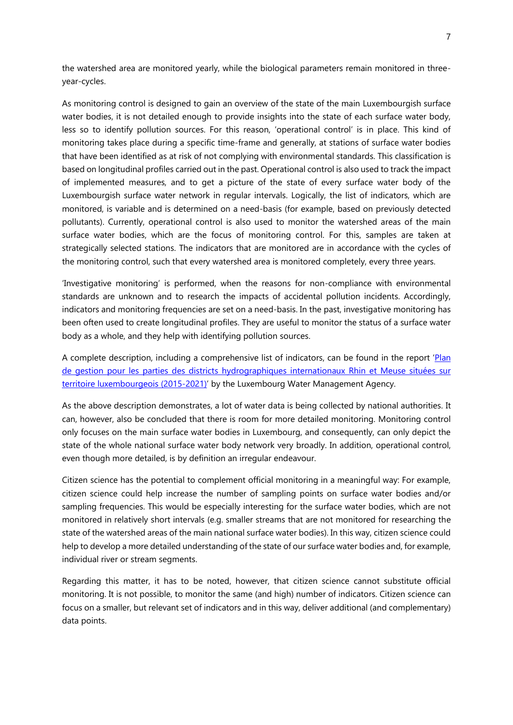the watershed area are monitored yearly, while the biological parameters remain monitored in threeyear-cycles.

As monitoring control is designed to gain an overview of the state of the main Luxembourgish surface water bodies, it is not detailed enough to provide insights into the state of each surface water body, less so to identify pollution sources. For this reason, 'operational control' is in place. This kind of monitoring takes place during a specific time-frame and generally, at stations of surface water bodies that have been identified as at risk of not complying with environmental standards. This classification is based on longitudinal profiles carried out in the past. Operational control is also used to track the impact of implemented measures, and to get a picture of the state of every surface water body of the Luxembourgish surface water network in regular intervals. Logically, the list of indicators, which are monitored, is variable and is determined on a need-basis (for example, based on previously detected pollutants). Currently, operational control is also used to monitor the watershed areas of the main surface water bodies, which are the focus of monitoring control. For this, samples are taken at strategically selected stations. The indicators that are monitored are in accordance with the cycles of the monitoring control, such that every watershed area is monitored completely, every three years.

'Investigative monitoring' is performed, when the reasons for non-compliance with environmental standards are unknown and to research the impacts of accidental pollution incidents. Accordingly, indicators and monitoring frequencies are set on a need-basis. In the past, investigative monitoring has been often used to create longitudinal profiles. They are useful to monitor the status of a surface water body as a whole, and they help with identifying pollution sources.

A complete description, including a comprehensive list of indicators, can be found in the report '[Plan](http://geoportail.eau.etat.lu/pdf/plan%20de%20gestion/FR/2e%20plan%20de%20gestion%20pour%20le%20Luxembourg%20(2015-2021)_22.12.2015.pdf)  [de gestion pour les parties des districts hydrographiques internationaux Rhin et Meuse situées sur](http://geoportail.eau.etat.lu/pdf/plan%20de%20gestion/FR/2e%20plan%20de%20gestion%20pour%20le%20Luxembourg%20(2015-2021)_22.12.2015.pdf)  [territoire luxembourgeois \(2015-2021\)](http://geoportail.eau.etat.lu/pdf/plan%20de%20gestion/FR/2e%20plan%20de%20gestion%20pour%20le%20Luxembourg%20(2015-2021)_22.12.2015.pdf)' by the Luxembourg Water Management Agency.

As the above description demonstrates, a lot of water data is being collected by national authorities. It can, however, also be concluded that there is room for more detailed monitoring. Monitoring control only focuses on the main surface water bodies in Luxembourg, and consequently, can only depict the state of the whole national surface water body network very broadly. In addition, operational control, even though more detailed, is by definition an irregular endeavour.

Citizen science has the potential to complement official monitoring in a meaningful way: For example, citizen science could help increase the number of sampling points on surface water bodies and/or sampling frequencies. This would be especially interesting for the surface water bodies, which are not monitored in relatively short intervals (e.g. smaller streams that are not monitored for researching the state of the watershed areas of the main national surface water bodies). In this way, citizen science could help to develop a more detailed understanding of the state of our surface water bodies and, for example, individual river or stream segments.

Regarding this matter, it has to be noted, however, that citizen science cannot substitute official monitoring. It is not possible, to monitor the same (and high) number of indicators. Citizen science can focus on a smaller, but relevant set of indicators and in this way, deliver additional (and complementary) data points.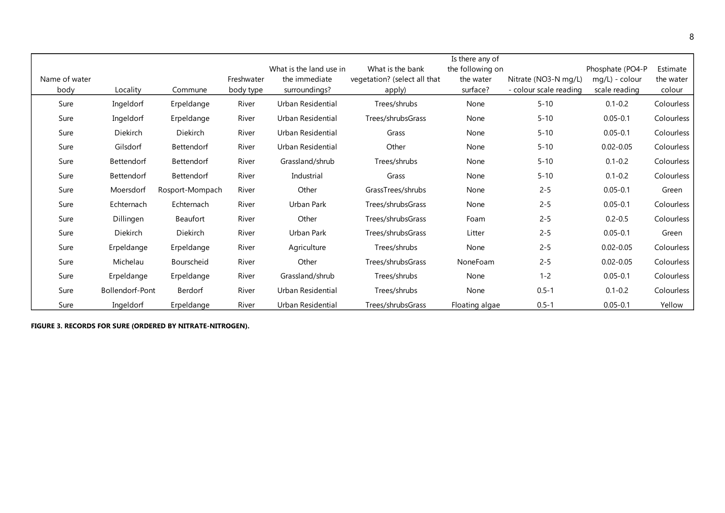|                       |                   |                   |                         |                                                           |                                                            | Is there any of                           |                                                |                                                     |                                 |
|-----------------------|-------------------|-------------------|-------------------------|-----------------------------------------------------------|------------------------------------------------------------|-------------------------------------------|------------------------------------------------|-----------------------------------------------------|---------------------------------|
| Name of water<br>body | Locality          | Commune           | Freshwater<br>body type | What is the land use in<br>the immediate<br>surroundings? | What is the bank<br>vegetation? (select all that<br>apply) | the following on<br>the water<br>surface? | Nitrate (NO3-N mg/L)<br>- colour scale reading | Phosphate (PO4-P<br>mg/L) - colour<br>scale reading | Estimate<br>the water<br>colour |
| Sure                  | Ingeldorf         | Erpeldange        | River                   | Urban Residential                                         | Trees/shrubs                                               | None                                      | $5 - 10$                                       | $0.1 - 0.2$                                         | Colourless                      |
| Sure                  | Ingeldorf         | Erpeldange        | River                   | Urban Residential                                         | Trees/shrubsGrass                                          | None                                      | $5 - 10$                                       | $0.05 - 0.1$                                        | Colourless                      |
| Sure                  | Diekirch          | Diekirch          | River                   | Urban Residential                                         | Grass                                                      | None                                      | $5 - 10$                                       | $0.05 - 0.1$                                        | Colourless                      |
| Sure                  | Gilsdorf          | <b>Bettendorf</b> | River                   | Urban Residential                                         | Other                                                      | None                                      | $5 - 10$                                       | $0.02 - 0.05$                                       | Colourless                      |
| Sure                  | Bettendorf        | Bettendorf        | River                   | Grassland/shrub                                           | Trees/shrubs                                               | None                                      | $5 - 10$                                       | $0.1 - 0.2$                                         | Colourless                      |
| Sure                  | <b>Bettendorf</b> | Bettendorf        | River                   | Industrial                                                | Grass                                                      | None                                      | $5 - 10$                                       | $0.1 - 0.2$                                         | Colourless                      |
| Sure                  | Moersdorf         | Rosport-Mompach   | River                   | Other                                                     | GrassTrees/shrubs                                          | None                                      | $2 - 5$                                        | $0.05 - 0.1$                                        | Green                           |
| Sure                  | Echternach        | Echternach        | River                   | Urban Park                                                | Trees/shrubsGrass                                          | None                                      | $2 - 5$                                        | $0.05 - 0.1$                                        | Colourless                      |
| Sure                  | Dillingen         | Beaufort          | River                   | Other                                                     | Trees/shrubsGrass                                          | Foam                                      | $2 - 5$                                        | $0.2 - 0.5$                                         | Colourless                      |
| Sure                  | Diekirch          | Diekirch          | River                   | Urban Park                                                | Trees/shrubsGrass                                          | Litter                                    | $2 - 5$                                        | $0.05 - 0.1$                                        | Green                           |
| Sure                  | Erpeldange        | Erpeldange        | River                   | Agriculture                                               | Trees/shrubs                                               | None                                      | $2 - 5$                                        | $0.02 - 0.05$                                       | Colourless                      |
| Sure                  | Michelau          | Bourscheid        | River                   | Other                                                     | Trees/shrubsGrass                                          | NoneFoam                                  | $2 - 5$                                        | $0.02 - 0.05$                                       | Colourless                      |
| Sure                  | Erpeldange        | Erpeldange        | River                   | Grassland/shrub                                           | Trees/shrubs                                               | None                                      | $1 - 2$                                        | $0.05 - 0.1$                                        | Colourless                      |
| Sure                  | Bollendorf-Pont   | Berdorf           | River                   | Urban Residential                                         | Trees/shrubs                                               | None                                      | $0.5 - 1$                                      | $0.1 - 0.2$                                         | Colourless                      |
| Sure                  | Ingeldorf         | Erpeldange        | River                   | Urban Residential                                         | Trees/shrubsGrass                                          | Floating algae                            | $0.5 - 1$                                      | $0.05 - 0.1$                                        | Yellow                          |

<span id="page-8-0"></span>**FIGURE 3. RECORDS FOR SURE (ORDERED BY NITRATE-NITROGEN).**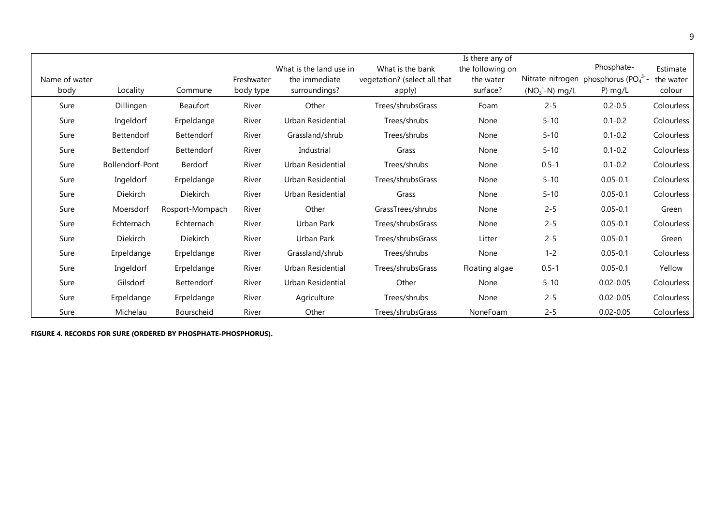| Name of water |                 |                   | Freshwater | What is the land use in<br>the immediate | What is the bank<br>vegetation? (select all that | Is there any of<br>the following on<br>the water |                  | Phosphate-<br>Nitrate-nitrogen phosphorus (PO <sub>4</sub> <sup>3-</sup> | Estimate<br>the water |
|---------------|-----------------|-------------------|------------|------------------------------------------|--------------------------------------------------|--------------------------------------------------|------------------|--------------------------------------------------------------------------|-----------------------|
| body          | Locality        | Commune           | body type  | surroundings?                            | apply)                                           | surface?                                         | $(NO3 - N)$ mg/L | $P)$ mg/L                                                                | colour                |
| Sure          | Dillingen       | Beaufort          | River      | Other                                    | Trees/shrubsGrass                                | Foam                                             | $2 - 5$          | $0.2 - 0.5$                                                              | Colourless            |
| Sure          | Ingeldorf       | Erpeldange        | River      | Urban Residential                        | Trees/shrubs                                     | None                                             | $5 - 10$         | $0.1 - 0.2$                                                              | Colourless            |
| Sure          | Bettendorf      | Bettendorf        | River      | Grassland/shrub                          | Trees/shrubs                                     | None                                             | $5 - 10$         | $0.1 - 0.2$                                                              | Colourless            |
| Sure          | Bettendorf      | Bettendorf        | River      | Industrial                               | Grass                                            | None                                             | $5 - 10$         | $0.1 - 0.2$                                                              | Colourless            |
| Sure          | Bollendorf-Pont | Berdorf           | River      | Urban Residential                        | Trees/shrubs                                     | None                                             | $0.5 - 1$        | $0.1 - 0.2$                                                              | Colourless            |
| Sure          | Ingeldorf       | Erpeldange        | River      | Urban Residential                        | Trees/shrubsGrass                                | None                                             | $5 - 10$         | $0.05 - 0.1$                                                             | Colourless            |
| Sure          | Diekirch        | Diekirch          | River      | Urban Residential                        | Grass                                            | None                                             | $5 - 10$         | $0.05 - 0.1$                                                             | Colourless            |
| Sure          | Moersdorf       | Rosport-Mompach   | River      | Other                                    | GrassTrees/shrubs                                | None                                             | $2 - 5$          | $0.05 - 0.1$                                                             | Green                 |
| Sure          | Echternach      | Echternach        | River      | Urban Park                               | Trees/shrubsGrass                                | None                                             | $2 - 5$          | $0.05 - 0.1$                                                             | Colourless            |
| Sure          | Diekirch        | Diekirch          | River      | Urban Park                               | Trees/shrubsGrass                                | Litter                                           | $2 - 5$          | $0.05 - 0.1$                                                             | Green                 |
| Sure          | Erpeldange      | Erpeldange        | River      | Grassland/shrub                          | Trees/shrubs                                     | None                                             | $1 - 2$          | $0.05 - 0.1$                                                             | Colourless            |
| Sure          | Ingeldorf       | Erpeldange        | River      | Urban Residential                        | Trees/shrubsGrass                                | Floating algae                                   | $0.5 - 1$        | $0.05 - 0.1$                                                             | Yellow                |
| Sure          | Gilsdorf        | <b>Bettendorf</b> | River      | Urban Residential                        | Other                                            | None                                             | $5 - 10$         | $0.02 - 0.05$                                                            | Colourless            |
| Sure          | Erpeldange      | Erpeldange        | River      | Agriculture                              | Trees/shrubs                                     | None                                             | $2 - 5$          | $0.02 - 0.05$                                                            | Colourless            |
| Sure          | Michelau        | Bourscheid        | River      | Other                                    | Trees/shrubsGrass                                | NoneFoam                                         | $2 - 5$          | $0.02 - 0.05$                                                            | Colourless            |

<span id="page-9-0"></span>**FIGURE 4. RECORDS FOR SURE (ORDERED BY PHOSPHATE-PHOSPHORUS).**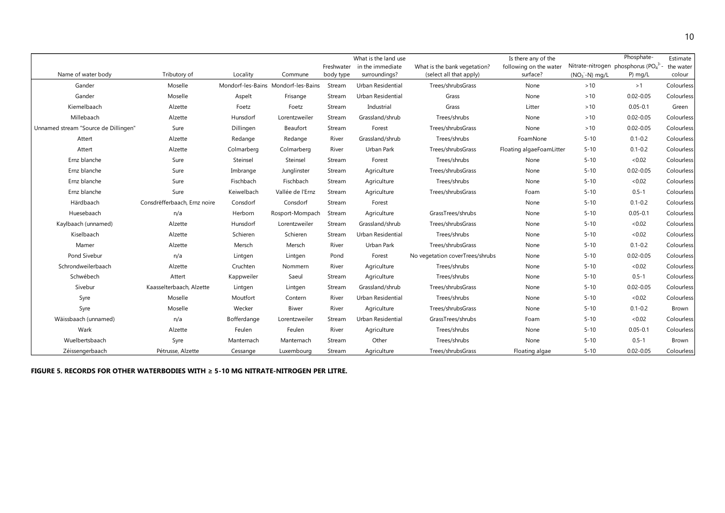|                                      |                              |             |                                     |            | What is the land use     |                                 | Is there any of the      |                  | Phosphate-                                                 | Estimate   |
|--------------------------------------|------------------------------|-------------|-------------------------------------|------------|--------------------------|---------------------------------|--------------------------|------------------|------------------------------------------------------------|------------|
|                                      |                              |             |                                     | Freshwater | in the immediate         | What is the bank vegetation?    | following on the water   |                  | Nitrate-nitrogen phosphorus (PO <sub>4</sub> <sup>3-</sup> | the water  |
| Name of water body                   | Tributory of                 | Locality    | Commune                             | body type  | surroundings?            | (select all that apply)         | surface?                 | $(NO3 - N)$ mg/L | $P)$ mg/L                                                  | colour     |
| Gander                               | Moselle                      |             | Mondorf-les-Bains Mondorf-les-Bains | Stream     | Urban Residential        | Trees/shrubsGrass               | None                     | >10              | >1                                                         | Colourless |
| Gander                               | Moselle                      | Aspelt      | Frisange                            | Stream     | Urban Residential        | Grass                           | None                     | >10              | $0.02 - 0.05$                                              | Colourless |
| Kiemelbaach                          | Alzette                      | Foetz       | Foetz                               | Stream     | Industrial               | Grass                           | Litter                   | >10              | $0.05 - 0.1$                                               | Green      |
| Millebaach                           | Alzette                      | Hunsdorf    | Lorentzweiler                       | Stream     | Grassland/shrub          | Trees/shrubs                    | None                     | >10              | $0.02 - 0.05$                                              | Colourless |
| Unnamed stream "Source de Dillingen" | Sure                         | Dillingen   | Beaufort                            | Stream     | Forest                   | Trees/shrubsGrass               | None                     | >10              | $0.02 - 0.05$                                              | Colourless |
| Attert                               | Alzette                      | Redange     | Redange                             | River      | Grassland/shrub          | Trees/shrubs                    | FoamNone                 | $5 - 10$         | $0.1 - 0.2$                                                | Colourless |
| Attert                               | Alzette                      | Colmarberg  | Colmarberg                          | River      | Urban Park               | Trees/shrubsGrass               | Floating algaeFoamLitter | $5 - 10$         | $0.1 - 0.2$                                                | Colourless |
| Ernz blanche                         | Sure                         | Steinsel    | Steinsel                            | Stream     | Forest                   | Trees/shrubs                    | None                     | $5 - 10$         | <0.02                                                      | Colourless |
| Ernz blanche                         | Sure                         | Imbrange    | Junglinster                         | Stream     | Agriculture              | Trees/shrubsGrass               | None                     | $5 - 10$         | $0.02 - 0.05$                                              | Colourless |
| Ernz blanche                         | Sure                         | Fischbach   | Fischbach                           | Stream     | Agriculture              | Trees/shrubs                    | None                     | $5 - 10$         | <0.02                                                      | Colourless |
| Ernz blanche                         | Sure                         | Keiwelbach  | Vallée de l'Ernz                    | Stream     | Agriculture              | Trees/shrubsGrass               | Foam                     | $5 - 10$         | $0.5 - 1$                                                  | Colourless |
| Härdbaach                            | Consdrëfferbaach, Ernz noire | Consdorf    | Consdorf                            | Stream     | Forest                   |                                 | None                     | $5 - 10$         | $0.1 - 0.2$                                                | Colourless |
| Huesebaach                           | n/a                          | Herborn     | Rosport-Mompach                     | Stream     | Agriculture              | GrassTrees/shrubs               | None                     | $5 - 10$         | $0.05 - 0.1$                                               | Colourless |
| Kaylbaach (unnamed)                  | Alzette                      | Hunsdorf    | Lorentzweiler                       | Stream     | Grassland/shrub          | Trees/shrubsGrass               | None                     | $5 - 10$         | <0.02                                                      | Colourless |
| Kiselbaach                           | Alzette                      | Schieren    | Schieren                            | Stream     | Urban Residential        | Trees/shrubs                    | None                     | $5 - 10$         | <0.02                                                      | Colourless |
| Mamer                                | Alzette                      | Mersch      | Mersch                              | River      | Urban Park               | Trees/shrubsGrass               | None                     | $5 - 10$         | $0.1 - 0.2$                                                | Colourless |
| Pond Sivebur                         | n/a                          | Lintgen     | Lintgen                             | Pond       | Forest                   | No vegetation coverTrees/shrubs | None                     | $5 - 10$         | $0.02 - 0.05$                                              | Colourless |
| Schrondweilerbaach                   | Alzette                      | Cruchten    | Nommern                             | River      | Agriculture              | Trees/shrubs                    | None                     | $5 - 10$         | <0.02                                                      | Colourless |
| Schwébech                            | Attert                       | Kappweiler  | Saeul                               | Stream     | Agriculture              | Trees/shrubs                    | None                     | $5 - 10$         | $0.5 - 1$                                                  | Colourless |
| Sivebur                              | Kaasselterbaach, Alzette     | Lintgen     | Lintgen                             | Stream     | Grassland/shrub          | Trees/shrubsGrass               | None                     | $5 - 10$         | $0.02 - 0.05$                                              | Colourless |
| Syre                                 | Moselle                      | Moutfort    | Contern                             | River      | Urban Residential        | Trees/shrubs                    | None                     | $5 - 10$         | <0.02                                                      | Colourless |
| Syre                                 | Moselle                      | Wecker      | <b>Biwer</b>                        | River      | Agriculture              | Trees/shrubsGrass               | None                     | $5 - 10$         | $0.1 - 0.2$                                                | Brown      |
| Wäissbaach (unnamed)                 | n/a                          | Bofferdange | Lorentzweiler                       | Stream     | <b>Urban Residential</b> | GrassTrees/shrubs               | Foam                     | $5 - 10$         | <0.02                                                      | Colourless |
| Wark                                 | Alzette                      | Feulen      | Feulen                              | River      | Agriculture              | Trees/shrubs                    | None                     | $5 - 10$         | $0.05 - 0.1$                                               | Colourless |
| Wuelbertsbaach                       | Syre                         | Manternach  | Manternach                          | Stream     | Other                    | Trees/shrubs                    | None                     | $5 - 10$         | $0.5 - 1$                                                  | Brown      |
| Zéissengerbaach                      | Pétrusse, Alzette            | Cessange    | Luxembourg                          | Stream     | Agriculture              | Trees/shrubsGrass               | Floating algae           | $5 - 10$         | $0.02 - 0.05$                                              | Colourless |

<span id="page-10-0"></span>**FIGURE 5. RECORDS FOR OTHER WATERBODIES WITH ≥ 5-10 MG NITRATE-NITROGEN PER LITRE.**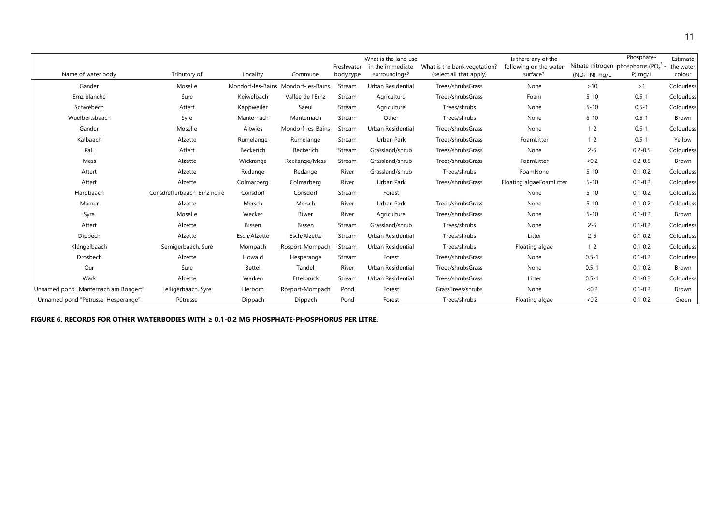|                                      |                              |              |                                     |            | What is the land use |                              | Is there any of the      |                  | Phosphate-                                                 | Estimate          |
|--------------------------------------|------------------------------|--------------|-------------------------------------|------------|----------------------|------------------------------|--------------------------|------------------|------------------------------------------------------------|-------------------|
|                                      |                              |              |                                     | Freshwater | in the immediate     | What is the bank vegetation? | following on the water   |                  | Nitrate-nitrogen phosphorus (PO <sub>4</sub> <sup>3-</sup> | the water         |
| Name of water body                   | Tributory of                 | Locality     | Commune                             | body type  | surroundings?        | (select all that apply)      | surface?                 | $(NO3 - N)$ mg/L | $P)$ mg/L                                                  | colour            |
| Gander                               | Moselle                      |              | Mondorf-les-Bains Mondorf-les-Bains | Stream     | Urban Residential    | Trees/shrubsGrass            | None                     | >10              | >1                                                         | <b>Colourless</b> |
| Ernz blanche                         | Sure                         | Keiwelbach   | Vallée de l'Ernz                    | Stream     | Agriculture          | Trees/shrubsGrass            | Foam                     | $5 - 10$         | $0.5 - 1$                                                  | <b>Colourless</b> |
| Schwébech                            | Attert                       | Kappweiler   | Saeul                               | Stream     | Agriculture          | Trees/shrubs                 | None                     | $5 - 10$         | $0.5 - 1$                                                  | Colourless        |
| Wuelbertsbaach                       | Syre                         | Manternach   | Manternach                          | Stream     | Other                | Trees/shrubs                 | None                     | $5 - 10$         | $0.5 - 1$                                                  | Brown             |
| Gander                               | Moselle                      | Altwies      | Mondorf-les-Bains                   | Stream     | Urban Residential    | Trees/shrubsGrass            | None                     | $1 - 2$          | $0.5 - 1$                                                  | Colourless        |
| Kälbaach                             | Alzette                      | Rumelange    | Rumelange                           | Stream     | Urban Park           | Trees/shrubsGrass            | FoamLitter               | $1 - 2$          | $0.5 - 1$                                                  | Yellow            |
| Pall                                 | Attert                       | Beckerich    | Beckerich                           | Stream     | Grassland/shrub      | Trees/shrubsGrass            | None                     | $2 - 5$          | $0.2 - 0.5$                                                | Colourless        |
| Mess                                 | Alzette                      | Wickrange    | Reckange/Mess                       | Stream     | Grassland/shrub      | Trees/shrubsGrass            | FoamLitter               | < 0.2            | $0.2 - 0.5$                                                | Brown             |
| Attert                               | Alzette                      | Redange      | Redange                             | River      | Grassland/shrub      | Trees/shrubs                 | FoamNone                 | $5 - 10$         | $0.1 - 0.2$                                                | <b>Colourless</b> |
| Attert                               | Alzette                      | Colmarberg   | Colmarberg                          | River      | Urban Park           | Trees/shrubsGrass            | Floating algaeFoamLitter | $5 - 10$         | $0.1 - 0.2$                                                | <b>Colourless</b> |
| Härdbaach                            | Consdrëfferbaach, Ernz noire | Consdorf     | Consdorf                            | Stream     | Forest               |                              | None                     | $5 - 10$         | $0.1 - 0.2$                                                | <b>Colourless</b> |
| Mamer                                | Alzette                      | Mersch       | Mersch                              | River      | <b>Urban Park</b>    | Trees/shrubsGrass            | None                     | $5 - 10$         | $0.1 - 0.2$                                                | <b>Colourless</b> |
| Syre                                 | Moselle                      | Wecker       | Biwer                               | River      | Agriculture          | Trees/shrubsGrass            | None                     | $5 - 10$         | $0.1 - 0.2$                                                | Brown             |
| Attert                               | Alzette                      | Bissen       | Bissen                              | Stream     | Grassland/shrub      | Trees/shrubs                 | None                     | $2 - 5$          | $0.1 - 0.2$                                                | Colourless        |
| Dipbech                              | Alzette                      | Esch/Alzette | Esch/Alzette                        | Stream     | Urban Residential    | Trees/shrubs                 | Litter                   | $2 - 5$          | $0.1 - 0.2$                                                | <b>Colourless</b> |
| Kléngelbaach                         | Sernigerbaach, Sure          | Mompach      | Rosport-Mompach                     | Stream     | Urban Residential    | Trees/shrubs                 | Floating algae           | $1 - 2$          | $0.1 - 0.2$                                                | <b>Colourless</b> |
| Drosbech                             | Alzette                      | Howald       | Hesperange                          | Stream     | Forest               | Trees/shrubsGrass            | None                     | $0.5 - 1$        | $0.1 - 0.2$                                                | Colourless        |
| Our                                  | Sure                         | Bettel       | Tandel                              | River      | Urban Residential    | Trees/shrubsGrass            | None                     | $0.5 - 1$        | $0.1 - 0.2$                                                | Brown             |
| Wark                                 | Alzette                      | Warken       | Ettelbrück                          | Stream     | Urban Residential    | Trees/shrubsGrass            | Litter                   | $0.5 - 1$        | $0.1 - 0.2$                                                | Colourless        |
| Unnamed pond "Manternach am Bongert" | Lelligerbaach, Syre          | Herborn      | Rosport-Mompach                     | Pond       | Forest               | GrassTrees/shrubs            | None                     | <0.2             | $0.1 - 0.2$                                                | Brown             |
| Unnamed pond "Pétrusse, Hesperange"  | Pétrusse                     | Dippach      | Dippach                             | Pond       | Forest               | Trees/shrubs                 | Floating algae           | < 0.2            | $0.1 - 0.2$                                                | Green             |

**FIGURE 6. RECORDS FOR OTHER WATERBODIES WITH ≥ 0.1-0.2 MG PHOSPHATE-PHOSPHORUS PER LITRE.**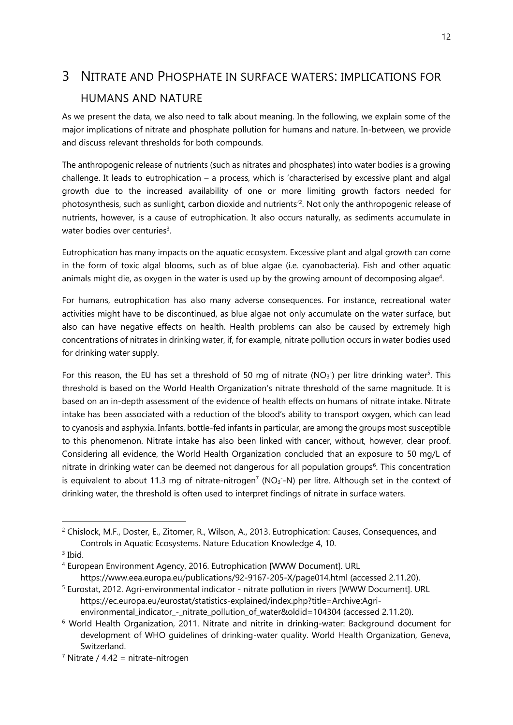# <span id="page-12-0"></span>3 NITRATE AND PHOSPHATE IN SURFACE WATERS: IMPLICATIONS FOR HUMANS AND NATURE

As we present the data, we also need to talk about meaning. In the following, we explain some of the major implications of nitrate and phosphate pollution for humans and nature. In-between, we provide and discuss relevant thresholds for both compounds.

The anthropogenic release of nutrients (such as nitrates and phosphates) into water bodies is a growing challenge. It leads to eutrophication – a process, which is 'characterised by excessive plant and algal growth due to the increased availability of one or more limiting growth factors needed for photosynthesis, such as sunlight, carbon dioxide and nutrients<sup>'2</sup>. Not only the anthropogenic release of nutrients, however, is a cause of eutrophication. It also occurs naturally, as sediments accumulate in water bodies over centuries<sup>3</sup>.

Eutrophication has many impacts on the aquatic ecosystem. Excessive plant and algal growth can come in the form of toxic algal blooms, such as of blue algae (i.e. cyanobacteria). Fish and other aquatic animals might die, as oxygen in the water is used up by the growing amount of decomposing algae<sup>4</sup>.

For humans, eutrophication has also many adverse consequences. For instance, recreational water activities might have to be discontinued, as blue algae not only accumulate on the water surface, but also can have negative effects on health. Health problems can also be caused by extremely high concentrations of nitrates in drinking water, if, for example, nitrate pollution occurs in water bodies used for drinking water supply.

For this reason, the EU has set a threshold of 50 mg of nitrate ( $NO<sub>3</sub>$ ) per litre drinking water<sup>5</sup>. This threshold is based on the World Health Organization's nitrate threshold of the same magnitude. It is based on an in-depth assessment of the evidence of health effects on humans of nitrate intake. Nitrate intake has been associated with a reduction of the blood's ability to transport oxygen, which can lead to cyanosis and asphyxia. Infants, bottle-fed infants in particular, are among the groups most susceptible to this phenomenon. Nitrate intake has also been linked with cancer, without, however, clear proof. Considering all evidence, the World Health Organization concluded that an exposure to 50 mg/L of nitrate in drinking water can be deemed not dangerous for all population groups<sup>6</sup>. This concentration is equivalent to about 11.3 mg of nitrate-nitrogen<sup>7</sup> (NO<sub>3</sub>-N) per litre. Although set in the context of drinking water, the threshold is often used to interpret findings of nitrate in surface waters.

 $\overline{a}$ 

<sup>&</sup>lt;sup>2</sup> Chislock, M.F., Doster, E., Zitomer, R., Wilson, A., 2013. Eutrophication: Causes, Consequences, and Controls in Aquatic Ecosystems. Nature Education Knowledge 4, 10.

<sup>3</sup> Ibid.

<sup>4</sup> European Environment Agency, 2016. Eutrophication [WWW Document]. URL https://www.eea.europa.eu/publications/92-9167-205-X/page014.html (accessed 2.11.20).

<sup>&</sup>lt;sup>5</sup> Eurostat, 2012. Agri-environmental indicator - nitrate pollution in rivers [WWW Document]. URL https://ec.europa.eu/eurostat/statistics-explained/index.php?title=Archive:Agri-

environmental\_indicator\_-\_nitrate\_pollution\_of\_water&oldid=104304 (accessed 2.11.20).

<sup>6</sup> World Health Organization, 2011. Nitrate and nitrite in drinking-water: Background document for development of WHO guidelines of drinking-water quality. World Health Organization, Geneva, Switzerland.

 $<sup>7</sup>$  Nitrate / 4.42 = nitrate-nitrogen</sup>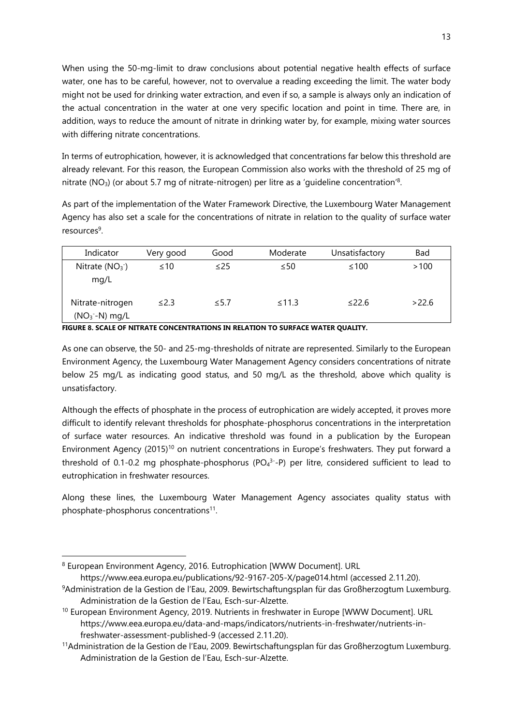When using the 50-mg-limit to draw conclusions about potential negative health effects of surface water, one has to be careful, however, not to overvalue a reading exceeding the limit. The water body might not be used for drinking water extraction, and even if so, a sample is always only an indication of the actual concentration in the water at one very specific location and point in time. There are, in addition, ways to reduce the amount of nitrate in drinking water by, for example, mixing water sources with differing nitrate concentrations.

In terms of eutrophication, however, it is acknowledged that concentrations far below this threshold are already relevant. For this reason, the European Commission also works with the threshold of 25 mg of nitrate (NO<sub>3</sub>) (or about 5.7 mg of nitrate-nitrogen) per litre as a 'guideline concentration'<sup>8</sup>.

As part of the implementation of the Water Framework Directive, the Luxembourg Water Management Agency has also set a scale for the concentrations of nitrate in relation to the quality of surface water resources<sup>9</sup>.

| Indicator                          | Very good  | Good       | Moderate    | Unsatisfactory | <b>Bad</b> |
|------------------------------------|------------|------------|-------------|----------------|------------|
| Nitrate $(NO3)$<br>mq/L            | $\leq 10$  | $\leq$ 25  | $\leq 50$   | ≤100           | >100       |
| Nitrate-nitrogen<br>$(NO3-N)$ mg/L | $\leq$ 2.3 | $\leq 5.7$ | $\leq$ 11.3 | $\leq$ 22.6    | >22.6      |

**FIGURE 8. SCALE OF NITRATE CONCENTRATIONS IN RELATION TO SURFACE WATER QUALITY.**

As one can observe, the 50- and 25-mg-thresholds of nitrate are represented. Similarly to the European Environment Agency, the Luxembourg Water Management Agency considers concentrations of nitrate below 25 mg/L as indicating good status, and 50 mg/L as the threshold, above which quality is unsatisfactory.

Although the effects of phosphate in the process of eutrophication are widely accepted, it proves more difficult to identify relevant thresholds for phosphate-phosphorus concentrations in the interpretation of surface water resources. An indicative threshold was found in a publication by the European Environment Agency (2015)<sup>10</sup> on nutrient concentrations in Europe's freshwaters. They put forward a threshold of 0.1-0.2 mg phosphate-phosphorus ( $PO<sub>4</sub>3-P$ ) per litre, considered sufficient to lead to eutrophication in freshwater resources.

Along these lines, the Luxembourg Water Management Agency associates quality status with phosphate-phosphorus concentrations<sup>11</sup>.

 $\overline{a}$ 

<sup>8</sup> European Environment Agency, 2016. Eutrophication [WWW Document]. URL

https://www.eea.europa.eu/publications/92-9167-205-X/page014.html (accessed 2.11.20).

<sup>9</sup>Administration de la Gestion de l'Eau, 2009. Bewirtschaftungsplan für das Großherzogtum Luxemburg. Administration de la Gestion de l'Eau, Esch-sur-Alzette.

<sup>&</sup>lt;sup>10</sup> European Environment Agency, 2019. Nutrients in freshwater in Europe [WWW Document]. URL https://www.eea.europa.eu/data-and-maps/indicators/nutrients-in-freshwater/nutrients-infreshwater-assessment-published-9 (accessed 2.11.20).

<sup>11</sup>Administration de la Gestion de l'Eau, 2009. Bewirtschaftungsplan für das Großherzogtum Luxemburg. Administration de la Gestion de l'Eau, Esch-sur-Alzette.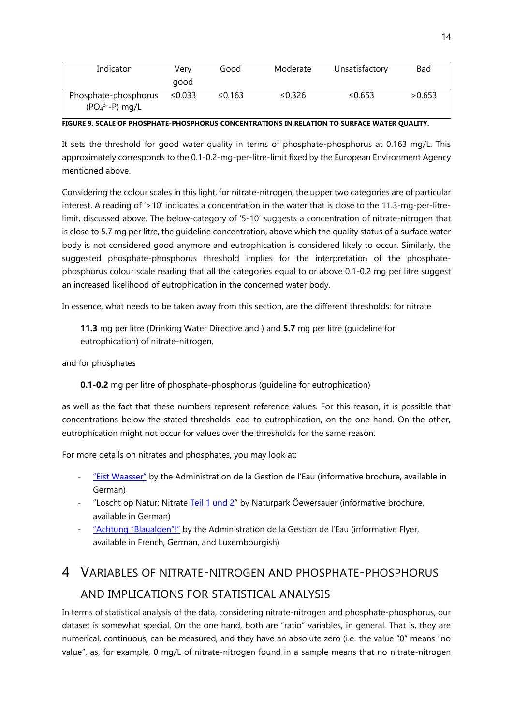| Indicator                                | Verv<br>good | Good   | Moderate | Unsatisfactory | <b>Bad</b> |
|------------------------------------------|--------------|--------|----------|----------------|------------|
| Phosphate-phosphorus<br>$(PO43--P)$ mg/L | ≤0.033       | ≤0.163 | ≤0.326   | ≤0.653         | >0.653     |

**FIGURE 9. SCALE OF PHOSPHATE-PHOSPHORUS CONCENTRATIONS IN RELATION TO SURFACE WATER QUALITY.**

It sets the threshold for good water quality in terms of phosphate-phosphorus at 0.163 mg/L. This approximately corresponds to the 0.1-0.2-mg-per-litre-limit fixed by the European Environment Agency mentioned above.

Considering the colour scales in this light, for nitrate-nitrogen, the upper two categories are of particular interest. A reading of '>10' indicates a concentration in the water that is close to the 11.3-mg-per-litrelimit, discussed above. The below-category of '5-10' suggests a concentration of nitrate-nitrogen that is close to 5.7 mg per litre, the guideline concentration, above which the quality status of a surface water body is not considered good anymore and eutrophication is considered likely to occur. Similarly, the suggested phosphate-phosphorus threshold implies for the interpretation of the phosphatephosphorus colour scale reading that all the categories equal to or above 0.1-0.2 mg per litre suggest an increased likelihood of eutrophication in the concerned water body.

In essence, what needs to be taken away from this section, are the different thresholds: for nitrate

**11.3** mg per litre (Drinking Water Directive and ) and **5.7** mg per litre (guideline for eutrophication) of nitrate-nitrogen,

and for phosphates

**0.1-0.2** mg per litre of phosphate-phosphorus (guideline for eutrophication)

as well as the fact that these numbers represent reference values. For this reason, it is possible that concentrations below the stated thresholds lead to eutrophication, on the one hand. On the other, eutrophication might not occur for values over the thresholds for the same reason.

For more details on nitrates and phosphates, you may look at:

- ["Eist Waasser"](https://eau.public.lu/publications/brochures/a_eist_waasser_2013/eist_waasser_2013.pdf) by the Administration de la Gestion de l'Eau (informative brochure, available in German)
- "Loscht op Natur: Nitrate [Teil 1](http://www.naturpark-sure.lu/cms/pages/files/00107.pdf) [und 2](http://www.naturpark-sure.lu/cms/pages/files/00108.pdf)" by Naturpark Öewersauer (informative brochure, available in German)
- ["Achtung "Blaualgen"!"](https://eau.public.lu/publications/index.html) by the Administration de la Gestion de l'Eau (informative Flyer, available in French, German, and Luxembourgish)

# <span id="page-14-0"></span>4 VARIABLES OF NITRATE-NITROGEN AND PHOSPHATE-PHOSPHORUS AND IMPLICATIONS FOR STATISTICAL ANALYSIS

In terms of statistical analysis of the data, considering nitrate-nitrogen and phosphate-phosphorus, our dataset is somewhat special. On the one hand, both are "ratio" variables, in general. That is, they are numerical, continuous, can be measured, and they have an absolute zero (i.e. the value "0" means "no value", as, for example, 0 mg/L of nitrate-nitrogen found in a sample means that no nitrate-nitrogen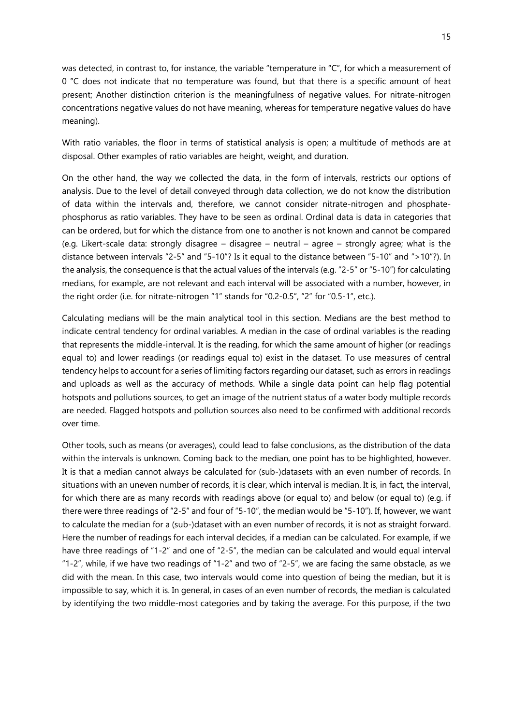was detected, in contrast to, for instance, the variable "temperature in °C", for which a measurement of 0 °C does not indicate that no temperature was found, but that there is a specific amount of heat present; Another distinction criterion is the meaningfulness of negative values. For nitrate-nitrogen concentrations negative values do not have meaning, whereas for temperature negative values do have meaning).

With ratio variables, the floor in terms of statistical analysis is open; a multitude of methods are at disposal. Other examples of ratio variables are height, weight, and duration.

On the other hand, the way we collected the data, in the form of intervals, restricts our options of analysis. Due to the level of detail conveyed through data collection, we do not know the distribution of data within the intervals and, therefore, we cannot consider nitrate-nitrogen and phosphatephosphorus as ratio variables. They have to be seen as ordinal. Ordinal data is data in categories that can be ordered, but for which the distance from one to another is not known and cannot be compared (e.g. Likert-scale data: strongly disagree – disagree – neutral – agree – strongly agree; what is the distance between intervals "2-5" and "5-10"? Is it equal to the distance between "5-10" and ">10"?). In the analysis, the consequence is that the actual values of the intervals (e.g. "2-5" or "5-10") for calculating medians, for example, are not relevant and each interval will be associated with a number, however, in the right order (i.e. for nitrate-nitrogen "1" stands for "0.2-0.5", "2" for "0.5-1", etc.).

Calculating medians will be the main analytical tool in this section. Medians are the best method to indicate central tendency for ordinal variables. A median in the case of ordinal variables is the reading that represents the middle-interval. It is the reading, for which the same amount of higher (or readings equal to) and lower readings (or readings equal to) exist in the dataset. To use measures of central tendency helps to account for a series of limiting factors regarding our dataset, such as errors in readings and uploads as well as the accuracy of methods. While a single data point can help flag potential hotspots and pollutions sources, to get an image of the nutrient status of a water body multiple records are needed. Flagged hotspots and pollution sources also need to be confirmed with additional records over time.

Other tools, such as means (or averages), could lead to false conclusions, as the distribution of the data within the intervals is unknown. Coming back to the median, one point has to be highlighted, however. It is that a median cannot always be calculated for (sub-)datasets with an even number of records. In situations with an uneven number of records, it is clear, which interval is median. It is, in fact, the interval, for which there are as many records with readings above (or equal to) and below (or equal to) (e.g. if there were three readings of "2-5" and four of "5-10", the median would be "5-10"). If, however, we want to calculate the median for a (sub-)dataset with an even number of records, it is not as straight forward. Here the number of readings for each interval decides, if a median can be calculated. For example, if we have three readings of "1-2" and one of "2-5", the median can be calculated and would equal interval "1-2", while, if we have two readings of "1-2" and two of "2-5", we are facing the same obstacle, as we did with the mean. In this case, two intervals would come into question of being the median, but it is impossible to say, which it is. In general, in cases of an even number of records, the median is calculated by identifying the two middle-most categories and by taking the average. For this purpose, if the two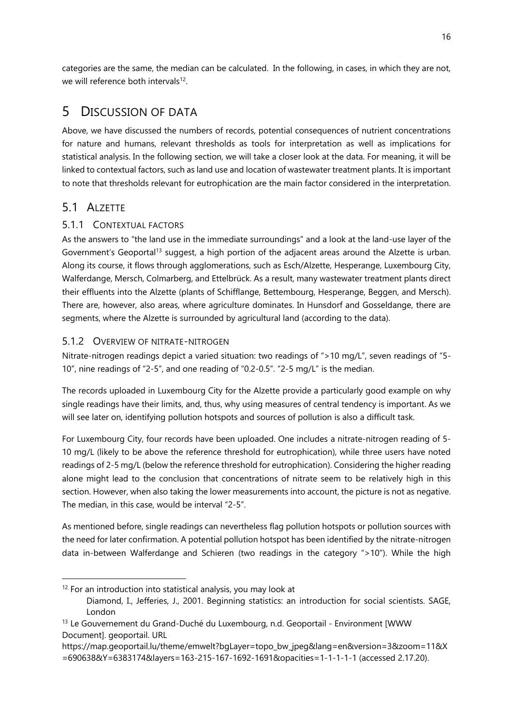categories are the same, the median can be calculated. In the following, in cases, in which they are not, we will reference both intervals<sup>12</sup>.

## <span id="page-16-0"></span>5 DISCUSSION OF DATA

Above, we have discussed the numbers of records, potential consequences of nutrient concentrations for nature and humans, relevant thresholds as tools for interpretation as well as implications for statistical analysis. In the following section, we will take a closer look at the data. For meaning, it will be linked to contextual factors, such as land use and location of wastewater treatment plants. It is important to note that thresholds relevant for eutrophication are the main factor considered in the interpretation.

## <span id="page-16-1"></span>5.1 ALZETTE

 $\overline{a}$ 

#### <span id="page-16-2"></span>5.1.1 CONTEXTUAL FACTORS

<span id="page-16-4"></span>As the answers to "the land use in the immediate surroundings" and a look at the land-use layer of the Government's Geoportal<sup>13</sup> suggest, a high portion of the adjacent areas around the Alzette is urban. Along its course, it flows through agglomerations, such as Esch/Alzette, Hesperange, Luxembourg City, Walferdange, Mersch, Colmarberg, and Ettelbrück. As a result, many wastewater treatment plants direct their effluents into the Alzette (plants of Schifflange, Bettembourg, Hesperange, Beggen, and Mersch). There are, however, also areas, where agriculture dominates. In Hunsdorf and Gosseldange, there are segments, where the Alzette is surrounded by agricultural land (according to the data).

#### <span id="page-16-3"></span>5.1.2 OVERVIEW OF NITRATE-NITROGEN

Nitrate-nitrogen readings depict a varied situation: two readings of ">10 mg/L", seven readings of "5- 10", nine readings of "2-5", and one reading of "0.2-0.5". "2-5 mg/L" is the median.

The records uploaded in Luxembourg City for the Alzette provide a particularly good example on why single readings have their limits, and, thus, why using measures of central tendency is important. As we will see later on, identifying pollution hotspots and sources of pollution is also a difficult task.

For Luxembourg City, four records have been uploaded. One includes a nitrate-nitrogen reading of 5- 10 mg/L (likely to be above the reference threshold for eutrophication), while three users have noted readings of 2-5 mg/L (below the reference threshold for eutrophication). Considering the higher reading alone might lead to the conclusion that concentrations of nitrate seem to be relatively high in this section. However, when also taking the lower measurements into account, the picture is not as negative. The median, in this case, would be interval "2-5".

As mentioned before, single readings can nevertheless flag pollution hotspots or pollution sources with the need for later confirmation. A potential pollution hotspot has been identified by the nitrate-nitrogen data in-between Walferdange and Schieren (two readings in the category ">10"). While the high

 $12$  For an introduction into statistical analysis, you may look at Diamond, I., Jefferies, J., 2001. Beginning statistics: an introduction for social scientists. SAGE, London

<sup>&</sup>lt;sup>13</sup> Le Gouvernement du Grand-Duché du Luxembourg, n.d. Geoportail - Environment [WWW Document]. geoportail. URL

https://map.geoportail.lu/theme/emwelt?bgLayer=topo\_bw\_jpeg&lang=en&version=3&zoom=11&X =690638&Y=6383174&layers=163-215-167-1692-1691&opacities=1-1-1-1-1 (accessed 2.17.20).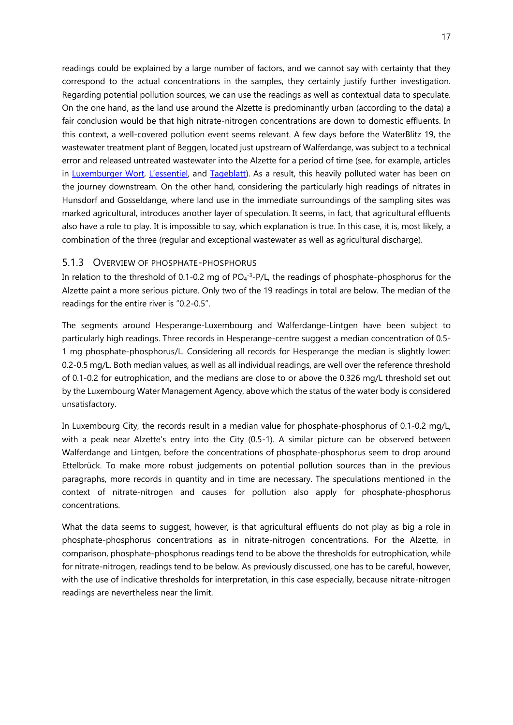readings could be explained by a large number of factors, and we cannot say with certainty that they correspond to the actual concentrations in the samples, they certainly justify further investigation. Regarding potential pollution sources, we can use the readings as well as contextual data to speculate. On the one hand, as the land use around the Alzette is predominantly urban (according to the data) a fair conclusion would be that high nitrate-nitrogen concentrations are down to domestic effluents. In this context, a well-covered pollution event seems relevant. A few days before the WaterBlitz 19, the wastewater treatment plant of Beggen, located just upstream of Walferdange, was subject to a technical error and released untreated wastewater into the Alzette for a period of time (see, for example, articles in [Luxemburger Wort,](https://www.wort.lu/de/lokales/panne-in-beggen-klaeranlage-mit-klaerungsbedarf-5d80fdafda2cc1784e34baef) [L'essentiel](http://www.lessentiel.lu/de/luxemburg/story/die-stadt-ubernimmt-die-verantwortung-14040263), and [Tageblatt\)](http://www.tageblatt.lu/headlines/die-fische-sind-alle-tot-alzette-ist-durch-abwasser-extrem-verschmutzt-worden/). As a result, this heavily polluted water has been on the journey downstream. On the other hand, considering the particularly high readings of nitrates in Hunsdorf and Gosseldange, where land use in the immediate surroundings of the sampling sites was marked agricultural, introduces another layer of speculation. It seems, in fact, that agricultural effluents also have a role to play. It is impossible to say, which explanation is true. In this case, it is, most likely, a combination of the three (regular and exceptional wastewater as well as agricultural discharge).

#### <span id="page-17-0"></span>5.1.3 OVERVIEW OF PHOSPHATE-PHOSPHORUS

In relation to the threshold of 0.1-0.2 mg of  $PO_4^{-3}$ -P/L, the readings of phosphate-phosphorus for the Alzette paint a more serious picture. Only two of the 19 readings in total are below. The median of the readings for the entire river is "0.2-0.5".

The segments around Hesperange-Luxembourg and Walferdange-Lintgen have been subject to particularly high readings. Three records in Hesperange-centre suggest a median concentration of 0.5- 1 mg phosphate-phosphorus/L. Considering all records for Hesperange the median is slightly lower: 0.2-0.5 mg/L. Both median values, as well as all individual readings, are well over the reference threshold of 0.1-0.2 for eutrophication, and the medians are close to or above the 0.326 mg/L threshold set out by the Luxembourg Water Management Agency, above which the status of the water body is considered unsatisfactory.

In Luxembourg City, the records result in a median value for phosphate-phosphorus of 0.1-0.2 mg/L, with a peak near Alzette's entry into the City (0.5-1). A similar picture can be observed between Walferdange and Lintgen, before the concentrations of phosphate-phosphorus seem to drop around Ettelbrück. To make more robust judgements on potential pollution sources than in the previous paragraphs, more records in quantity and in time are necessary. The speculations mentioned in the context of nitrate-nitrogen and causes for pollution also apply for phosphate-phosphorus concentrations.

What the data seems to suggest, however, is that agricultural effluents do not play as big a role in phosphate-phosphorus concentrations as in nitrate-nitrogen concentrations. For the Alzette, in comparison, phosphate-phosphorus readings tend to be above the thresholds for eutrophication, while for nitrate-nitrogen, readings tend to be below. As previously discussed, one has to be careful, however, with the use of indicative thresholds for interpretation, in this case especially, because nitrate-nitrogen readings are nevertheless near the limit.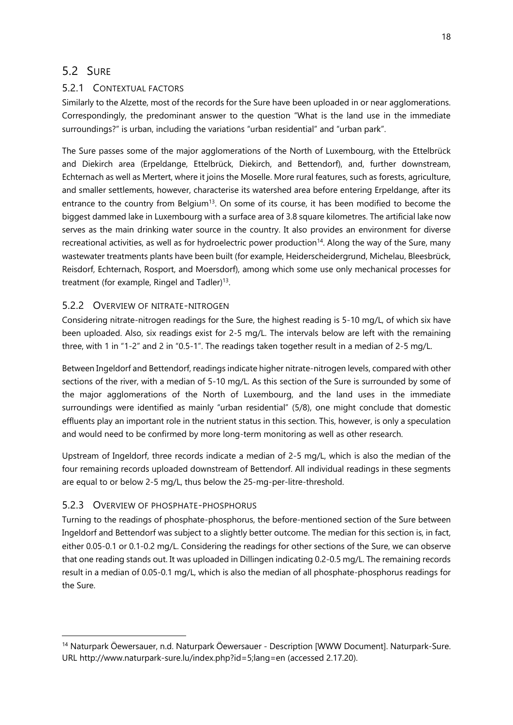#### <span id="page-18-0"></span>5.2 SURE

#### <span id="page-18-1"></span>5.2.1 CONTEXTUAL FACTORS

Similarly to the Alzette, most of the records for the Sure have been uploaded in or near agglomerations. Correspondingly, the predominant answer to the question "What is the land use in the immediate surroundings?" is urban, including the variations "urban residential" and "urban park".

The Sure passes some of the major agglomerations of the North of Luxembourg, with the Ettelbrück and Diekirch area (Erpeldange, Ettelbrück, Diekirch, and Bettendorf), and, further downstream, Echternach as well as Mertert, where it joins the Moselle. More rural features, such as forests, agriculture, and smaller settlements, however, characterise its watershed area before entering Erpeldange, after its entrance to the country from Belgium<sup>[13](#page-16-4)</sup>. On some of its course, it has been modified to become the biggest dammed lake in Luxembourg with a surface area of 3.8 square kilometres. The artificial lake now serves as the main drinking water source in the country. It also provides an environment for diverse recreational activities, as well as for hydroelectric power production $14$ . Along the way of the Sure, many wastewater treatments plants have been built (for example, Heiderscheidergrund, Michelau, Bleesbrück, Reisdorf, Echternach, Rosport, and Moersdorf), among which some use only mechanical processes for treatment (for example, Ringel and Tadler)<sup>[13](#page-16-4)</sup>.

#### <span id="page-18-2"></span>5.2.2 OVERVIEW OF NITRATE-NITROGEN

Considering nitrate-nitrogen readings for the Sure, the highest reading is 5-10 mg/L, of which six have been uploaded. Also, six readings exist for 2-5 mg/L. The intervals below are left with the remaining three, with 1 in "1-2" and 2 in "0.5-1". The readings taken together result in a median of 2-5 mg/L.

Between Ingeldorf and Bettendorf, readings indicate higher nitrate-nitrogen levels, compared with other sections of the river, with a median of 5-10 mg/L. As this section of the Sure is surrounded by some of the major agglomerations of the North of Luxembourg, and the land uses in the immediate surroundings were identified as mainly "urban residential" (5/8), one might conclude that domestic effluents play an important role in the nutrient status in this section. This, however, is only a speculation and would need to be confirmed by more long-term monitoring as well as other research.

Upstream of Ingeldorf, three records indicate a median of 2-5 mg/L, which is also the median of the four remaining records uploaded downstream of Bettendorf. All individual readings in these segments are equal to or below 2-5 mg/L, thus below the 25-mg-per-litre-threshold.

#### <span id="page-18-3"></span>5.2.3 OVERVIEW OF PHOSPHATE-PHOSPHORUS

-

Turning to the readings of phosphate-phosphorus, the before-mentioned section of the Sure between Ingeldorf and Bettendorf was subject to a slightly better outcome. The median for this section is, in fact, either 0.05-0.1 or 0.1-0.2 mg/L. Considering the readings for other sections of the Sure, we can observe that one reading stands out. It was uploaded in Dillingen indicating 0.2-0.5 mg/L. The remaining records result in a median of 0.05-0.1 mg/L, which is also the median of all phosphate-phosphorus readings for the Sure.

<sup>14</sup> Naturpark Öewersauer, n.d. Naturpark Öewersauer - Description [WWW Document]. Naturpark-Sure. URL http://www.naturpark-sure.lu/index.php?id=5;lang=en (accessed 2.17.20).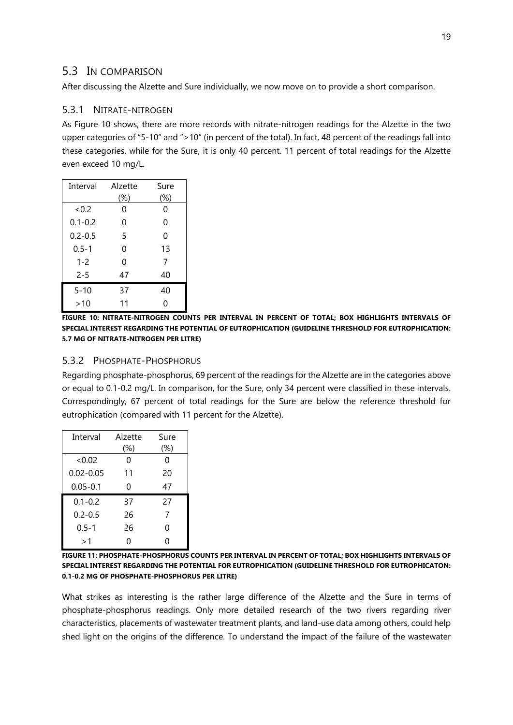#### <span id="page-19-0"></span>5.3 IN COMPARISON

After discussing the Alzette and Sure individually, we now move on to provide a short comparison.

#### <span id="page-19-1"></span>5.3.1 NITRATE-NITROGEN

As [Figure 10](#page-19-3) shows, there are more records with nitrate-nitrogen readings for the Alzette in the two upper categories of "5-10" and ">10" (in percent of the total). In fact, 48 percent of the readings fall into these categories, while for the Sure, it is only 40 percent. 11 percent of total readings for the Alzette even exceed 10 mg/L.

| Interval    | Alzette | Sure     |
|-------------|---------|----------|
|             | (%)     | $(\%)$   |
| < 0.2       | 0       | 0        |
| $0.1 - 0.2$ | 0       | 0        |
| $0.2 - 0.5$ | 5       | $\Omega$ |
| $0.5 - 1$   | 0       | 13       |
| $1 - 2$     | 0       | 7        |
| $2 - 5$     | 47      | 40       |
| $5 - 10$    | 37      | 40       |
| >10         | 11      | ი        |

<span id="page-19-3"></span>**FIGURE 10: NITRATE-NITROGEN COUNTS PER INTERVAL IN PERCENT OF TOTAL; BOX HIGHLIGHTS INTERVALS OF SPECIAL INTEREST REGARDING THE POTENTIAL OF EUTROPHICATION (GUIDELINE THRESHOLD FOR EUTROPHICATION: 5.7 MG OF NITRATE-NITROGEN PER LITRE)**

#### <span id="page-19-2"></span>5.3.2 PHOSPHATE-PHOSPHORUS

Regarding phosphate-phosphorus, 69 percent of the readings for the Alzette are in the categories above or equal to 0.1-0.2 mg/L. In comparison, for the Sure, only 34 percent were classified in these intervals. Correspondingly, 67 percent of total readings for the Sure are below the reference threshold for eutrophication (compared with 11 percent for the Alzette).

| Interval      | Alzette<br>$(\%)$ | Sure<br>(%) |
|---------------|-------------------|-------------|
| <0.02         | 0                 | 0           |
| $0.02 - 0.05$ | 11                | 20          |
| $0.05 - 0.1$  | 0                 | 47          |
| $0.1 - 0.2$   | 37                | 27          |
| $0.2 - 0.5$   | 26                | 7           |
| $0.5 - 1$     | 26                | 0           |
| >1            | ი                 | Ω           |

**FIGURE 11: PHOSPHATE-PHOSPHORUS COUNTS PER INTERVAL IN PERCENT OF TOTAL; BOX HIGHLIGHTS INTERVALS OF SPECIAL INTEREST REGARDING THE POTENTIAL FOR EUTROPHICATION (GUIDELINE THRESHOLD FOR EUTROPHICATON: 0.1-0.2 MG OF PHOSPHATE-PHOSPHORUS PER LITRE)**

What strikes as interesting is the rather large difference of the Alzette and the Sure in terms of phosphate-phosphorus readings. Only more detailed research of the two rivers regarding river characteristics, placements of wastewater treatment plants, and land-use data among others, could help shed light on the origins of the difference. To understand the impact of the failure of the wastewater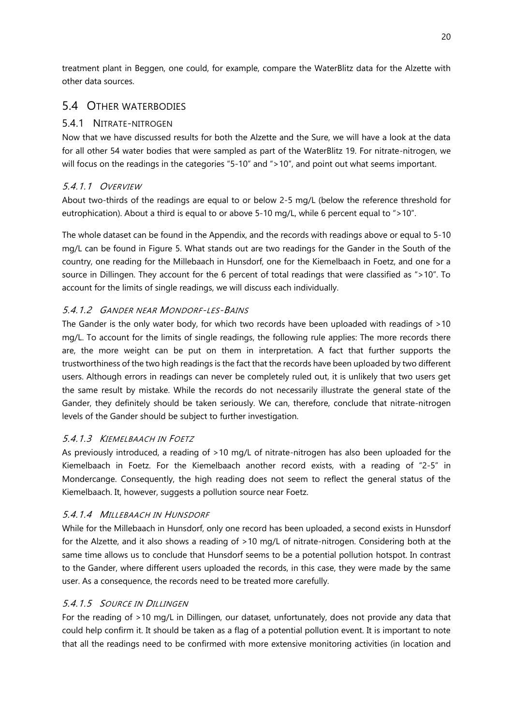treatment plant in Beggen, one could, for example, compare the WaterBlitz data for the Alzette with other data sources.

#### <span id="page-20-0"></span>5.4 OTHER WATERBODIES

#### <span id="page-20-1"></span>5.4.1 NITRATE-NITROGEN

Now that we have discussed results for both the Alzette and the Sure, we will have a look at the data for all other 54 water bodies that were sampled as part of the WaterBlitz 19. For nitrate-nitrogen, we will focus on the readings in the categories "5-10" and ">10", and point out what seems important.

#### 5.4.1.1 OVERVIEW

About two-thirds of the readings are equal to or below 2-5 mg/L (below the reference threshold for eutrophication). About a third is equal to or above 5-10 mg/L, while 6 percent equal to ">10".

The whole dataset can be found in the Appendix, and the records with readings above or equal to 5-10 mg/L can be found in [Figure 5.](#page-10-0) What stands out are two readings for the Gander in the South of the country, one reading for the Millebaach in Hunsdorf, one for the Kiemelbaach in Foetz, and one for a source in Dillingen. They account for the 6 percent of total readings that were classified as ">10". To account for the limits of single readings, we will discuss each individually.

#### 5.4.1.2 GANDER NEAR MONDORF-LES-BAINS

The Gander is the only water body, for which two records have been uploaded with readings of >10 mg/L. To account for the limits of single readings, the following rule applies: The more records there are, the more weight can be put on them in interpretation. A fact that further supports the trustworthiness of the two high readings is the fact that the records have been uploaded by two different users. Although errors in readings can never be completely ruled out, it is unlikely that two users get the same result by mistake. While the records do not necessarily illustrate the general state of the Gander, they definitely should be taken seriously. We can, therefore, conclude that nitrate-nitrogen levels of the Gander should be subject to further investigation.

#### 5.4.1.3 KIEMELBAACH IN FOETZ

As previously introduced, a reading of >10 mg/L of nitrate-nitrogen has also been uploaded for the Kiemelbaach in Foetz. For the Kiemelbaach another record exists, with a reading of "2-5" in Mondercange. Consequently, the high reading does not seem to reflect the general status of the Kiemelbaach. It, however, suggests a pollution source near Foetz.

#### 5.4.1.4 MILLEBAACH IN HUNSDORF

While for the Millebaach in Hunsdorf, only one record has been uploaded, a second exists in Hunsdorf for the Alzette, and it also shows a reading of >10 mg/L of nitrate-nitrogen. Considering both at the same time allows us to conclude that Hunsdorf seems to be a potential pollution hotspot. In contrast to the Gander, where different users uploaded the records, in this case, they were made by the same user. As a consequence, the records need to be treated more carefully.

#### 5.4.1.5 SOURCE IN DILLINGEN

For the reading of >10 mg/L in Dillingen, our dataset, unfortunately, does not provide any data that could help confirm it. It should be taken as a flag of a potential pollution event. It is important to note that all the readings need to be confirmed with more extensive monitoring activities (in location and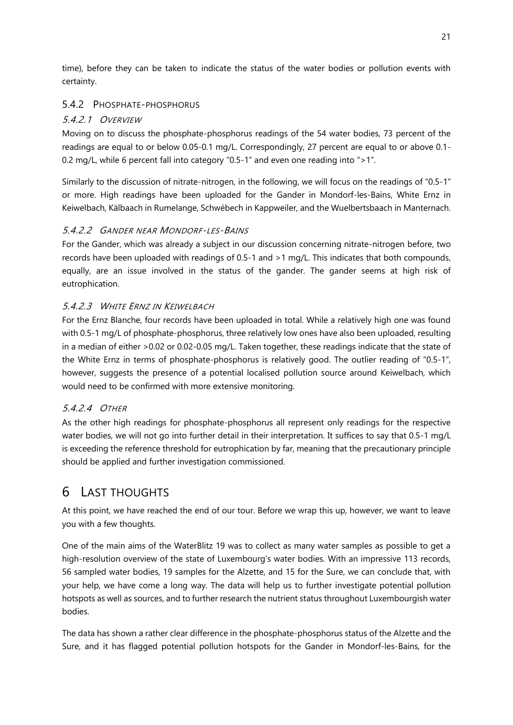time), before they can be taken to indicate the status of the water bodies or pollution events with certainty.

#### <span id="page-21-0"></span>5.4.2 PHOSPHATE-PHOSPHORUS

#### 5.4.2.1 OVERVIEW

Moving on to discuss the phosphate-phosphorus readings of the 54 water bodies, 73 percent of the readings are equal to or below 0.05-0.1 mg/L. Correspondingly, 27 percent are equal to or above 0.1- 0.2 mg/L, while 6 percent fall into category "0.5-1" and even one reading into ">1".

Similarly to the discussion of nitrate-nitrogen, in the following, we will focus on the readings of "0.5-1" or more. High readings have been uploaded for the Gander in Mondorf-les-Bains, White Ernz in Keiwelbach, Kälbaach in Rumelange, Schwébech in Kappweiler, and the Wuelbertsbaach in Manternach.

#### 5.4.2.2 GANDER NEAR MONDORF-LES-BAINS

For the Gander, which was already a subject in our discussion concerning nitrate-nitrogen before, two records have been uploaded with readings of 0.5-1 and >1 mg/L. This indicates that both compounds, equally, are an issue involved in the status of the gander. The gander seems at high risk of eutrophication.

#### 5.4.2.3 WHITE ERNZ IN KEIWELBACH

For the Ernz Blanche, four records have been uploaded in total. While a relatively high one was found with 0.5-1 mg/L of phosphate-phosphorus, three relatively low ones have also been uploaded, resulting in a median of either >0.02 or 0.02-0.05 mg/L. Taken together, these readings indicate that the state of the White Ernz in terms of phosphate-phosphorus is relatively good. The outlier reading of "0.5-1", however, suggests the presence of a potential localised pollution source around Keiwelbach, which would need to be confirmed with more extensive monitoring.

#### 5.4.2.4 OTHER

As the other high readings for phosphate-phosphorus all represent only readings for the respective water bodies, we will not go into further detail in their interpretation. It suffices to say that 0.5-1 mg/L is exceeding the reference threshold for eutrophication by far, meaning that the precautionary principle should be applied and further investigation commissioned.

## <span id="page-21-1"></span>6 LAST THOUGHTS

At this point, we have reached the end of our tour. Before we wrap this up, however, we want to leave you with a few thoughts.

One of the main aims of the WaterBlitz 19 was to collect as many water samples as possible to get a high-resolution overview of the state of Luxembourg's water bodies. With an impressive 113 records, 56 sampled water bodies, 19 samples for the Alzette, and 15 for the Sure, we can conclude that, with your help, we have come a long way. The data will help us to further investigate potential pollution hotspots as well as sources, and to further research the nutrient status throughout Luxembourgish water bodies.

The data has shown a rather clear difference in the phosphate-phosphorus status of the Alzette and the Sure, and it has flagged potential pollution hotspots for the Gander in Mondorf-les-Bains, for the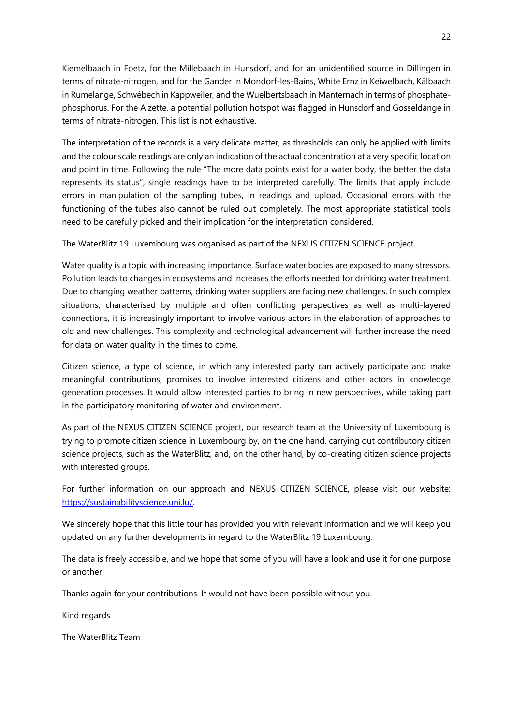Kiemelbaach in Foetz, for the Millebaach in Hunsdorf, and for an unidentified source in Dillingen in terms of nitrate-nitrogen, and for the Gander in Mondorf-les-Bains, White Ernz in Keiwelbach, Kälbaach in Rumelange, Schwébech in Kappweiler, and the Wuelbertsbaach in Manternach in terms of phosphatephosphorus. For the Alzette, a potential pollution hotspot was flagged in Hunsdorf and Gosseldange in terms of nitrate-nitrogen. This list is not exhaustive.

The interpretation of the records is a very delicate matter, as thresholds can only be applied with limits and the colour scale readings are only an indication of the actual concentration at a very specific location and point in time. Following the rule "The more data points exist for a water body, the better the data represents its status", single readings have to be interpreted carefully. The limits that apply include errors in manipulation of the sampling tubes, in readings and upload. Occasional errors with the functioning of the tubes also cannot be ruled out completely. The most appropriate statistical tools need to be carefully picked and their implication for the interpretation considered.

The WaterBlitz 19 Luxembourg was organised as part of the NEXUS CITIZEN SCIENCE project.

Water quality is a topic with increasing importance. Surface water bodies are exposed to many stressors. Pollution leads to changes in ecosystems and increases the efforts needed for drinking water treatment. Due to changing weather patterns, drinking water suppliers are facing new challenges. In such complex situations, characterised by multiple and often conflicting perspectives as well as multi-layered connections, it is increasingly important to involve various actors in the elaboration of approaches to old and new challenges. This complexity and technological advancement will further increase the need for data on water quality in the times to come.

Citizen science, a type of science, in which any interested party can actively participate and make meaningful contributions, promises to involve interested citizens and other actors in knowledge generation processes. It would allow interested parties to bring in new perspectives, while taking part in the participatory monitoring of water and environment.

As part of the NEXUS CITIZEN SCIENCE project, our research team at the University of Luxembourg is trying to promote citizen science in Luxembourg by, on the one hand, carrying out contributory citizen science projects, such as the WaterBlitz, and, on the other hand, by co-creating citizen science projects with interested groups.

For further information on our approach and NEXUS CITIZEN SCIENCE, please visit our website: [https://sustainabilityscience.uni.lu/.](https://sustainabilityscience.uni.lu/) 

We sincerely hope that this little tour has provided you with relevant information and we will keep you updated on any further developments in regard to the WaterBlitz 19 Luxembourg.

The data is freely accessible, and we hope that some of you will have a look and use it for one purpose or another.

Thanks again for your contributions. It would not have been possible without you.

Kind regards

The WaterBlitz Team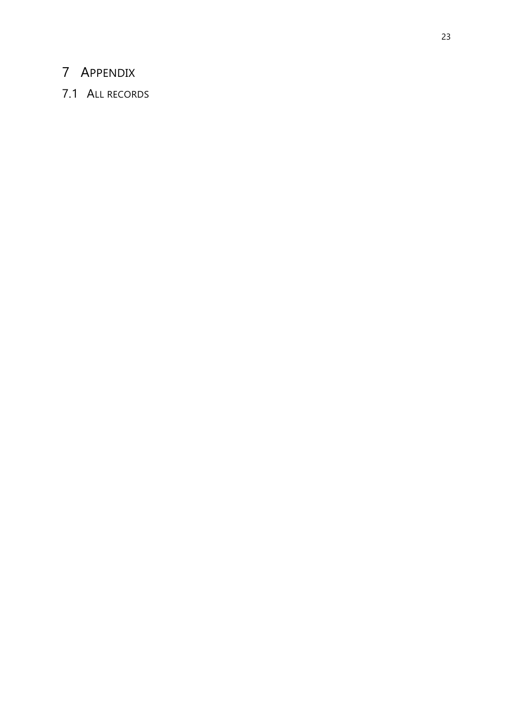## <span id="page-23-0"></span>APPENDIX

## <span id="page-23-1"></span>7.1 ALL RECORDS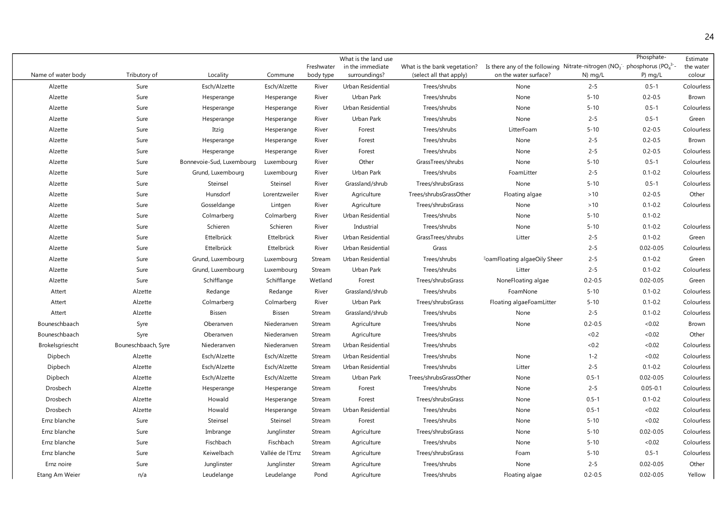| Name of water body | Tributory of        | Locality                  | Commune          | Freshwater<br>body type | What is the land use<br>in the immediate<br>surroundings? | What is the bank vegetation?<br>(select all that apply) | Is there any of the following Nitrate-nitrogen ( $NO3$ phosphorus ( $PO43$ -<br>on the water surface? | N) mg/L     | Phosphate-<br>$P)$ mg/L | Estimate<br>the water<br>colour |
|--------------------|---------------------|---------------------------|------------------|-------------------------|-----------------------------------------------------------|---------------------------------------------------------|-------------------------------------------------------------------------------------------------------|-------------|-------------------------|---------------------------------|
| Alzette            | Sure                | Esch/Alzette              | Esch/Alzette     | River                   | Urban Residential                                         | Trees/shrubs                                            | None                                                                                                  | $2 - 5$     | $0.5 - 1$               | Colourless                      |
| Alzette            | Sure                | Hesperange                | Hesperange       | River                   | Urban Park                                                | Trees/shrubs                                            | None                                                                                                  | $5 - 10$    | $0.2 - 0.5$             | Brown                           |
| Alzette            | Sure                | Hesperange                | Hesperange       | River                   | Urban Residential                                         | Trees/shrubs                                            | None                                                                                                  | $5 - 10$    | $0.5 - 1$               | Colourless                      |
| Alzette            | Sure                | Hesperange                | Hesperange       | River                   | Urban Park                                                | Trees/shrubs                                            | None                                                                                                  | $2 - 5$     | $0.5 - 1$               | Green                           |
| Alzette            | Sure                | Itzig                     | Hesperange       | River                   | Forest                                                    | Trees/shrubs                                            | LitterFoam                                                                                            | $5 - 10$    | $0.2 - 0.5$             | Colourless                      |
| Alzette            | Sure                | Hesperange                | Hesperange       | River                   | Forest                                                    | Trees/shrubs                                            | None                                                                                                  | $2 - 5$     | $0.2 - 0.5$             | Brown                           |
| Alzette            | Sure                | Hesperange                | Hesperange       | River                   | Forest                                                    | Trees/shrubs                                            | None                                                                                                  | $2 - 5$     | $0.2 - 0.5$             | Colourless                      |
| Alzette            | Sure                | Bonnevoie-Sud, Luxembourg | Luxembourg       | River                   | Other                                                     | GrassTrees/shrubs                                       | None                                                                                                  | $5 - 10$    | $0.5 - 1$               | Colourless                      |
| Alzette            | Sure                | Grund, Luxembourg         | Luxembourg       | River                   | Urban Park                                                | Trees/shrubs                                            | FoamLitter                                                                                            | $2 - 5$     | $0.1 - 0.2$             | Colourless                      |
| Alzette            | Sure                | Steinsel                  | Steinsel         | River                   | Grassland/shrub                                           | Trees/shrubsGrass                                       | None                                                                                                  | $5 - 10$    | $0.5 - 1$               | Colourless                      |
| Alzette            | Sure                | Hunsdorf                  | Lorentzweiler    | River                   | Agriculture                                               | Trees/shrubsGrassOther                                  | Floating algae                                                                                        | $>10$       | $0.2 - 0.5$             | Other                           |
| Alzette            | Sure                | Gosseldange               | Lintgen          | River                   | Agriculture                                               | Trees/shrubsGrass                                       | None                                                                                                  | $>10$       | $0.1 - 0.2$             | Colourless                      |
| Alzette            | Sure                | Colmarberg                | Colmarberg       | River                   | Urban Residential                                         | Trees/shrubs                                            | None                                                                                                  | $5 - 10$    | $0.1 - 0.2$             |                                 |
| Alzette            | Sure                | Schieren                  | Schieren         | River                   | Industrial                                                | Trees/shrubs                                            | None                                                                                                  | $5 - 10$    | $0.1 - 0.2$             | Colourless                      |
| Alzette            | Sure                | Ettelbrück                | Ettelbrück       | River                   | Urban Residential                                         | GrassTrees/shrubs                                       | Litter                                                                                                | $2 - 5$     | $0.1 - 0.2$             | Green                           |
| Alzette            | Sure                | Ettelbrück                | Ettelbrück       | River                   | Urban Residential                                         | Grass                                                   |                                                                                                       | $2 - 5$     | $0.02 - 0.05$           | Colourless                      |
| Alzette            | Sure                | Grund, Luxembourg         | Luxembourg       | Stream                  | Urban Residential                                         | Trees/shrubs                                            | FoamFloating algaeOily Sheer                                                                          | $2 - 5$     | $0.1 - 0.2$             | Green                           |
| Alzette            | Sure                | Grund, Luxembourg         | Luxembourg       | Stream                  | Urban Park                                                | Trees/shrubs                                            | Litter                                                                                                | $2 - 5$     | $0.1 - 0.2$             | Colourless                      |
| Alzette            | Sure                | Schifflange               | Schifflange      | Wetland                 | Forest                                                    | Trees/shrubsGrass                                       | NoneFloating algae                                                                                    | $0.2 - 0.5$ | $0.02 - 0.05$           | Green                           |
| Attert             | Alzette             | Redange                   | Redange          | River                   | Grassland/shrub                                           | Trees/shrubs                                            | FoamNone                                                                                              | $5 - 10$    | $0.1 - 0.2$             | Colourless                      |
| Attert             | Alzette             | Colmarberg                | Colmarberg       | River                   | Urban Park                                                | Trees/shrubsGrass                                       | Floating algaeFoamLitter                                                                              | $5 - 10$    | $0.1 - 0.2$             | Colourless                      |
| Attert             | Alzette             | Bissen                    | Bissen           | Stream                  | Grassland/shrub                                           | Trees/shrubs                                            | None                                                                                                  | $2 - 5$     | $0.1 - 0.2$             | Colourless                      |
| Bouneschbaach      | Syre                | Oberanven                 | Niederanven      | Stream                  | Agriculture                                               | Trees/shrubs                                            | None                                                                                                  | $0.2 - 0.5$ | <0.02                   | Brown                           |
| Bouneschbaach      | Syre                | Oberanven                 | Niederanven      | Stream                  | Agriculture                                               | Trees/shrubs                                            |                                                                                                       | < 0.2       | <0.02                   | Other                           |
| Brokelsgriescht    | Bouneschbaach, Syre | Niederanven               | Niederanven      | Stream                  | Urban Residential                                         | Trees/shrubs                                            |                                                                                                       | <0.2        | <0.02                   | Colourless                      |
| Dipbech            | Alzette             | Esch/Alzette              | Esch/Alzette     | Stream                  | Urban Residential                                         | Trees/shrubs                                            | None                                                                                                  | $1 - 2$     | < 0.02                  | Colourless                      |
| Dipbech            | Alzette             | Esch/Alzette              | Esch/Alzette     | Stream                  | Urban Residential                                         | Trees/shrubs                                            | Litter                                                                                                | $2 - 5$     | $0.1 - 0.2$             | Colourless                      |
| Dipbech            | Alzette             | Esch/Alzette              | Esch/Alzette     | Stream                  | Urban Park                                                | Trees/shrubsGrassOther                                  | None                                                                                                  | $0.5 - 1$   | $0.02 - 0.05$           | Colourless                      |
| Drosbech           | Alzette             | Hesperange                | Hesperange       | Stream                  | Forest                                                    | Trees/shrubs                                            | None                                                                                                  | $2 - 5$     | $0.05 - 0.1$            | Colourless                      |
| Drosbech           | Alzette             | Howald                    | Hesperange       | Stream                  | Forest                                                    | Trees/shrubsGrass                                       | None                                                                                                  | $0.5 - 1$   | $0.1 - 0.2$             | Colourless                      |
| Drosbech           | Alzette             | Howald                    | Hesperange       | Stream                  | Urban Residential                                         | Trees/shrubs                                            | None                                                                                                  | $0.5 - 1$   | < 0.02                  | Colourless                      |
| Ernz blanche       | Sure                | Steinsel                  | Steinsel         | Stream                  | Forest                                                    | Trees/shrubs                                            | None                                                                                                  | $5 - 10$    | <0.02                   | Colourless                      |
| Ernz blanche       | Sure                | Imbrange                  | Junglinster      | Stream                  | Agriculture                                               | Trees/shrubsGrass                                       | None                                                                                                  | $5 - 10$    | $0.02 - 0.05$           | Colourless                      |
| Ernz blanche       | Sure                | Fischbach                 | Fischbach        | Stream                  | Agriculture                                               | Trees/shrubs                                            | None                                                                                                  | $5 - 10$    | < 0.02                  | Colourless                      |
| Ernz blanche       | Sure                | Keiwelbach                | Vallée de l'Ernz | Stream                  | Agriculture                                               | Trees/shrubsGrass                                       | Foam                                                                                                  | $5 - 10$    | $0.5 - 1$               | Colourless                      |
| Ernz noire         | Sure                | Junglinster               | Junglinster      | Stream                  | Agriculture                                               | Trees/shrubs                                            | None                                                                                                  | $2 - 5$     | $0.02 - 0.05$           | Other                           |
| Etang Am Weier     | n/a                 | Leudelange                | Leudelange       | Pond                    | Agriculture                                               | Trees/shrubs                                            | Floating algae                                                                                        | $0.2 - 0.5$ | $0.02 - 0.05$           | Yellow                          |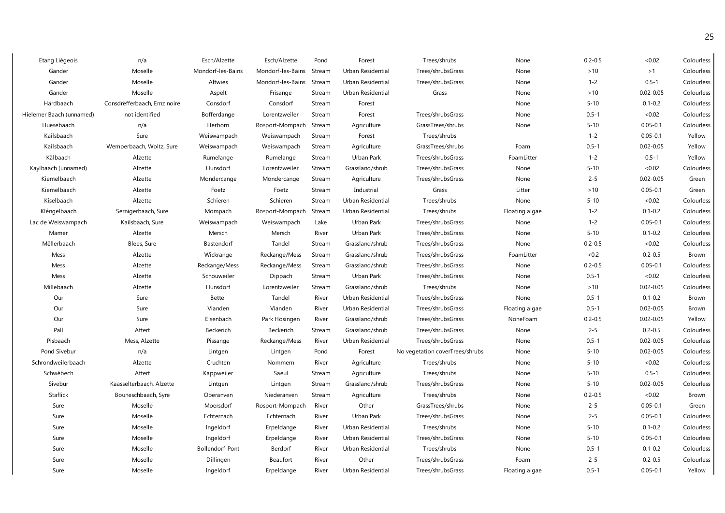| Etang Liégeois           | n/a                          | Esch/Alzette      | Esch/Alzette      | Pond   | Forest            | Trees/shrubs                    | None           | $0.2 - 0.5$ | &0.02         | Colourless   |
|--------------------------|------------------------------|-------------------|-------------------|--------|-------------------|---------------------------------|----------------|-------------|---------------|--------------|
| Gander                   | Moselle                      | Mondorf-les-Bains | Mondorf-les-Bains | Stream | Urban Residential | Trees/shrubsGrass               | None           | $>10$       | >1            | Colourless   |
| Gander                   | Moselle                      | Altwies           | Mondorf-les-Bains | Stream | Urban Residential | Trees/shrubsGrass               | None           | $1 - 2$     | $0.5 - 1$     | Colourless   |
| Gander                   | Moselle                      | Aspelt            | Frisange          | Stream | Urban Residential | Grass                           | None           | $>10$       | $0.02 - 0.05$ | Colourless   |
| Härdbaach                | Consdrëfferbaach, Ernz noire | Consdorf          | Consdorf          | Stream | Forest            |                                 | None           | $5 - 10$    | $0.1 - 0.2$   | Colourless   |
| Hielemer Baach (unnamed) | not identified               | Bofferdange       | Lorentzweiler     | Stream | Forest            | Trees/shrubsGrass               | None           | $0.5 - 1$   | < 0.02        | Colourless   |
| Huesebaach               | n/a                          | Herborn           | Rosport-Mompach   | Stream | Agriculture       | GrassTrees/shrubs               | None           | $5 - 10$    | $0.05 - 0.1$  | Colourless   |
| Kailsbaach               | Sure                         | Weiswampach       | Weiswampach       | Stream | Forest            | Trees/shrubs                    |                | $1 - 2$     | $0.05 - 0.1$  | Yellow       |
| Kailsbaach               | Wemperbaach, Woltz, Sure     | Weiswampach       | Weiswampach       | Stream | Agriculture       | GrassTrees/shrubs               | Foam           | $0.5 - 1$   | $0.02 - 0.05$ | Yellow       |
| Kälbaach                 | Alzette                      | Rumelange         | Rumelange         | Stream | Urban Park        | Trees/shrubsGrass               | FoamLitter     | $1 - 2$     | $0.5 - 1$     | Yellow       |
| Kaylbaach (unnamed)      | Alzette                      | Hunsdorf          | Lorentzweiler     | Stream | Grassland/shrub   | Trees/shrubsGrass               | None           | $5 - 10$    | < 0.02        | Colourless   |
| Kiemelbaach              | Alzette                      | Mondercange       | Mondercange       | Stream | Agriculture       | Trees/shrubsGrass               | None           | $2 - 5$     | $0.02 - 0.05$ | Green        |
| Kiemelbaach              | Alzette                      | Foetz             | Foetz             | Stream | Industrial        | Grass                           | Litter         | $>10$       | $0.05 - 0.1$  | Green        |
| Kiselbaach               | Alzette                      | Schieren          | Schieren          | Stream | Urban Residential | Trees/shrubs                    | None           | $5 - 10$    | < 0.02        | Colourless   |
| Kléngelbaach             | Sernigerbaach, Sure          | Mompach           | Rosport-Mompach   | Stream | Urban Residential | Trees/shrubs                    | Floating algae | $1 - 2$     | $0.1 - 0.2$   | Colourless   |
| Lac de Weiswampach       | Kailsbaach, Sure             | Weiswampach       | Weiswampach       | Lake   | Urban Park        | Trees/shrubsGrass               | None           | $1 - 2$     | $0.05 - 0.1$  | Colourless   |
| Mamer                    | Alzette                      | Mersch            | Mersch            | River  | Urban Park        | Trees/shrubsGrass               | None           | $5 - 10$    | $0.1 - 0.2$   | Colourless   |
| Mëllerbaach              | Blees, Sure                  | Bastendorf        | Tandel            | Stream | Grassland/shrub   | Trees/shrubsGrass               | None           | $0.2 - 0.5$ | <0.02         | Colourless   |
| Mess                     | Alzette                      | Wickrange         | Reckange/Mess     | Stream | Grassland/shrub   | Trees/shrubsGrass               | FoamLitter     | <0.2        | $0.2 - 0.5$   | Brown        |
| Mess                     | Alzette                      | Reckange/Mess     | Reckange/Mess     | Stream | Grassland/shrub   | Trees/shrubsGrass               | None           | $0.2 - 0.5$ | $0.05 - 0.1$  | Colourless   |
| Mess                     | Alzette                      | Schouweiler       | Dippach           | Stream | Urban Park        | Trees/shrubsGrass               | None           | $0.5 - 1$   | < 0.02        | Colourless   |
| Millebaach               | Alzette                      | Hunsdorf          | Lorentzweiler     | Stream | Grassland/shrub   | Trees/shrubs                    | None           | $>10$       | $0.02 - 0.05$ | Colourless   |
| Our                      | Sure                         | Bettel            | Tandel            | River  | Urban Residential | Trees/shrubsGrass               | None           | $0.5 - 1$   | $0.1 - 0.2$   | Brown        |
| Our                      | Sure                         | Vianden           | Vianden           | River  | Urban Residential | Trees/shrubsGrass               | Floating algae | $0.5 - 1$   | $0.02 - 0.05$ | <b>Brown</b> |
| Our                      | Sure                         | Eisenbach         | Park Hosingen     | River  | Grassland/shrub   | Trees/shrubsGrass               | NoneFoam       | $0.2 - 0.5$ | $0.02 - 0.05$ | Yellow       |
| Pall                     | Attert                       | Beckerich         | Beckerich         | Stream | Grassland/shrub   | Trees/shrubsGrass               | None           | $2 - 5$     | $0.2 - 0.5$   | Colourless   |
| Pisbaach                 | Mess, Alzette                | Pissange          | Reckange/Mess     | River  | Urban Residential | Trees/shrubsGrass               | None           | $0.5 - 1$   | $0.02 - 0.05$ | Colourless   |
| Pond Sivebur             | n/a                          | Lintgen           | Lintgen           | Pond   | Forest            | No vegetation coverTrees/shrubs | None           | $5 - 10$    | $0.02 - 0.05$ | Colourless   |
| Schrondweilerbaach       | Alzette                      | Cruchten          | Nommern           | River  | Agriculture       | Trees/shrubs                    | None           | $5 - 10$    | < 0.02        | Colourless   |
| Schwébech                | Attert                       | Kappweiler        | Saeul             | Stream | Agriculture       | Trees/shrubs                    | None           | $5 - 10$    | $0.5 - 1$     | Colourless   |
| Sivebur                  | Kaasselterbaach, Alzette     | Lintgen           | Lintgen           | Stream | Grassland/shrub   | Trees/shrubsGrass               | None           | $5 - 10$    | $0.02 - 0.05$ | Colourless   |
| Staflick                 | Bouneschbaach, Syre          | Oberanven         | Niederanven       | Stream | Agriculture       | Trees/shrubs                    | None           | $0.2 - 0.5$ | < 0.02        | Brown        |
| Sure                     | Moselle                      | Moersdorf         | Rosport-Mompach   | River  | Other             | GrassTrees/shrubs               | None           | $2 - 5$     | $0.05 - 0.1$  | Green        |
| Sure                     | Moselle                      | Echternach        | Echternach        | River  | Urban Park        | Trees/shrubsGrass               | None           | $2 - 5$     | $0.05 - 0.1$  | Colourless   |
| Sure                     | Moselle                      | Ingeldorf         | Erpeldange        | River  | Urban Residential | Trees/shrubs                    | None           | $5 - 10$    | $0.1 - 0.2$   | Colourless   |
| Sure                     | Moselle                      | Ingeldorf         | Erpeldange        | River  | Urban Residential | Trees/shrubsGrass               | None           | $5 - 10$    | $0.05 - 0.1$  | Colourless   |
| Sure                     | Moselle                      | Bollendorf-Pont   | Berdorf           | River  | Urban Residential | Trees/shrubs                    | None           | $0.5 - 1$   | $0.1 - 0.2$   | Colourless   |
| Sure                     | Moselle                      | Dillingen         | Beaufort          | River  | Other             | Trees/shrubsGrass               | Foam           | $2 - 5$     | $0.2 - 0.5$   | Colourless   |
| Sure                     | Moselle                      | Ingeldorf         | Erpeldange        | River  | Urban Residential | Trees/shrubsGrass               | Floating algae | $0.5 - 1$   | $0.05 - 0.1$  | Yellow       |
|                          |                              |                   |                   |        |                   |                                 |                |             |               |              |